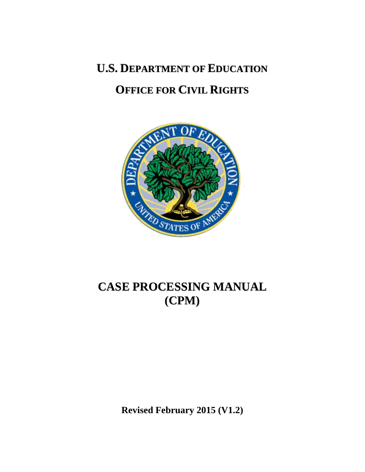**U.S. DEPARTMENT OF EDUCATION**

# **OFFICE FOR CIVIL RIGHTS**



# **CASE PROCESSING MANUAL (CPM)**

**Revised February 2015 (V1.2)**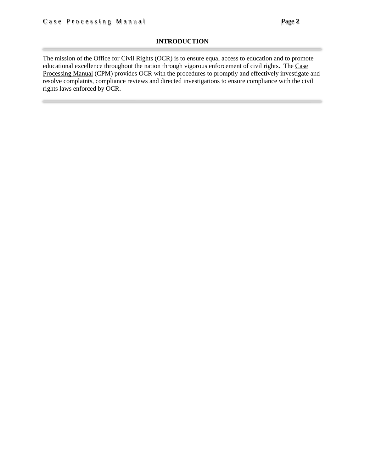## **INTRODUCTION**

The mission of the Office for Civil Rights (OCR) is to ensure equal access to education and to promote educational excellence throughout the nation through vigorous enforcement of civil rights. The Case Processing Manual (CPM) provides OCR with the procedures to promptly and effectively investigate and resolve complaints, compliance reviews and directed investigations to ensure compliance with the civil rights laws enforced by OCR.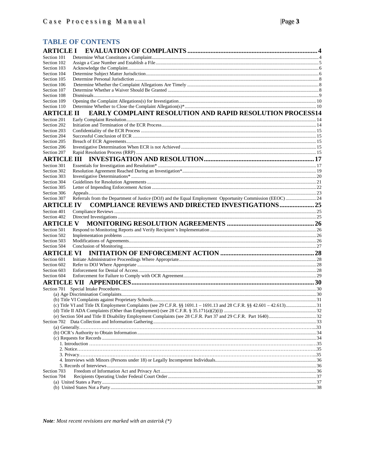# **TABLE OF CONTENTS**

| <b>ARTICLE I</b>           |                                                                                                           |  |
|----------------------------|-----------------------------------------------------------------------------------------------------------|--|
| Section 101                |                                                                                                           |  |
| Section 102                |                                                                                                           |  |
| Section 103                |                                                                                                           |  |
| Section 104                |                                                                                                           |  |
| Section 105                |                                                                                                           |  |
| Section 106                |                                                                                                           |  |
| Section 107                |                                                                                                           |  |
| Section 108<br>Section 109 |                                                                                                           |  |
| Section 110                |                                                                                                           |  |
| <b>ARTICLE II</b>          | <b>EARLY COMPLAINT RESOLUTION AND RAPID RESOLUTION PROCESS14</b>                                          |  |
| Section 201                |                                                                                                           |  |
| Section 202                |                                                                                                           |  |
| Section 203                |                                                                                                           |  |
| Section 204                |                                                                                                           |  |
| Section 205                |                                                                                                           |  |
| Section 206                |                                                                                                           |  |
| Section 207                |                                                                                                           |  |
| <b>ARTICLE III</b>         |                                                                                                           |  |
| Section 301                |                                                                                                           |  |
| Section 302                |                                                                                                           |  |
| Section 303                |                                                                                                           |  |
| Section 304                |                                                                                                           |  |
| Section 305                |                                                                                                           |  |
| Section 306                |                                                                                                           |  |
| Section 307                | Referrals from the Department of Justice (DOJ) and the Equal Employment Opportunity Commission (EEOC)  24 |  |
| <b>ARTICLE IV</b>          | <b>COMPLIANCE REVIEWS AND DIRECTED INVESTIGATIONS 25</b>                                                  |  |
| Section 401                |                                                                                                           |  |
| Section 402                |                                                                                                           |  |
|                            |                                                                                                           |  |
| <b>ARTICLE V</b>           |                                                                                                           |  |
| Section 501                |                                                                                                           |  |
| Section 502                |                                                                                                           |  |
| Section 503                |                                                                                                           |  |
| Section 504                |                                                                                                           |  |
| <b>ARTICLE VI</b>          |                                                                                                           |  |
| Section 601                |                                                                                                           |  |
| Section 602                |                                                                                                           |  |
| Section 603                |                                                                                                           |  |
| Section 604                |                                                                                                           |  |
|                            |                                                                                                           |  |
|                            |                                                                                                           |  |
|                            |                                                                                                           |  |
|                            |                                                                                                           |  |
|                            |                                                                                                           |  |
|                            |                                                                                                           |  |
|                            |                                                                                                           |  |
|                            |                                                                                                           |  |
|                            |                                                                                                           |  |
|                            |                                                                                                           |  |
|                            |                                                                                                           |  |
|                            |                                                                                                           |  |
|                            |                                                                                                           |  |
|                            |                                                                                                           |  |
|                            |                                                                                                           |  |
| Section 703                |                                                                                                           |  |
| Section 704                |                                                                                                           |  |
|                            |                                                                                                           |  |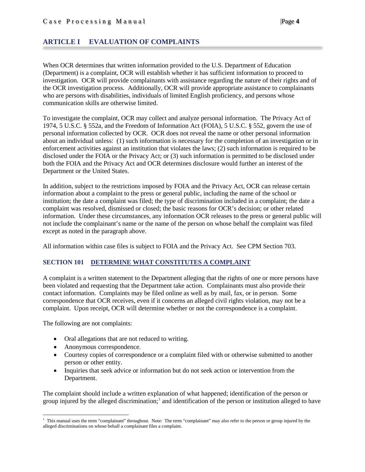# <span id="page-3-0"></span>**ARTICLE I EVALUATION OF COMPLAINTS**

When OCR determines that written information provided to the U.S. Department of Education (Department) is a complaint, OCR will establish whether it has sufficient information to proceed to investigation. OCR will provide complainants with assistance regarding the nature of their rights and of the OCR investigation process. Additionally, OCR will provide appropriate assistance to complainants who are persons with disabilities, individuals of limited English proficiency, and persons whose communication skills are otherwise limited.

To investigate the complaint, OCR may collect and analyze personal information. The Privacy Act of 1974, 5 U.S.C. § 552a, and the Freedom of Information Act (FOIA), 5 U.S.C. § 552, govern the use of personal information collected by OCR. OCR does not reveal the name or other personal information about an individual unless: (1) such information is necessary for the completion of an investigation or in enforcement activities against an institution that violates the laws; (2) such information is required to be disclosed under the FOIA or the Privacy Act; or (3) such information is permitted to be disclosed under both the FOIA and the Privacy Act and OCR determines disclosure would further an interest of the Department or the United States.

In addition, subject to the restrictions imposed by FOIA and the Privacy Act, OCR can release certain information about a complaint to the press or general public, including the name of the school or institution; the date a complaint was filed; the type of discrimination included in a complaint; the date a complaint was resolved, dismissed or closed; the basic reasons for OCR's decision; or other related information. Under these circumstances, any information OCR releases to the press or general public will not include the complainant's name or the name of the person on whose behalf the complaint was filed except as noted in the paragraph above.

All information within case files is subject to FOIA and the Privacy Act. See CPM Section 703.

## <span id="page-3-1"></span>**SECTION 101 DETERMINE WHAT CONSTITUTES A COMPLAINT**

A complaint is a written statement to the Department alleging that the rights of one or more persons have been violated and requesting that the Department take action. Complainants must also provide their contact information. Complaints may be filed online as well as by mail, fax, or in person. Some correspondence that OCR receives, even if it concerns an alleged civil rights violation, may not be a complaint. Upon receipt, OCR will determine whether or not the correspondence is a complaint.

The following are not complaints:

- Oral allegations that are not reduced to writing.
- Anonymous correspondence.
- Courtesy copies of correspondence or a complaint filed with or otherwise submitted to another person or other entity.
- Inquiries that seek advice or information but do not seek action or intervention from the Department.

The complaint should include a written explanation of what happened; identification of the person or group injured by the alleged discrimination;<sup>[1](#page-3-2)</sup> and identification of the person or institution alleged to have

<span id="page-3-2"></span>1 This manual uses the term "complainant" throughout. Note: The term "complainant" may also refer to the person or group injured by the alleged discriminations on whose behalf a complainant files a complaint.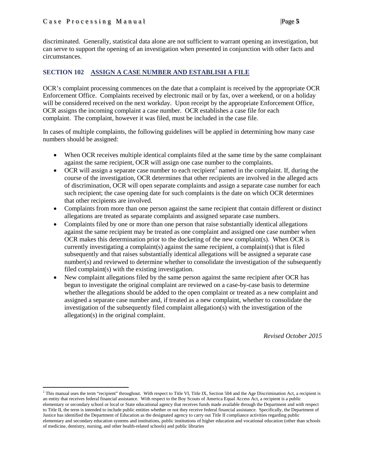$\overline{\phantom{a}}$ 

discriminated. Generally, statistical data alone are not sufficient to warrant opening an investigation, but can serve to support the opening of an investigation when presented in conjunction with other facts and circumstances.

## <span id="page-4-0"></span>**SECTION 102 ASSIGN A CASE NUMBER AND ESTABLISH A FILE**

OCR's complaint processing commences on the date that a complaint is received by the appropriate OCR Enforcement Office. Complaints received by electronic mail or by fax, over a weekend, or on a holiday will be considered received on the next workday. Upon receipt by the appropriate Enforcement Office, OCR assigns the incoming complaint a case number. OCR establishes a case file for each complaint. The complaint, however it was filed, must be included in the case file.

In cases of multiple complaints, the following guidelines will be applied in determining how many case numbers should be assigned:

- When OCR receives multiple identical complaints filed at the same time by the same complainant against the same recipient, OCR will assign one case number to the complaints.
- OCR will assign a separate case number to each recipient<sup>[2](#page-4-1)</sup> named in the complaint. If, during the course of the investigation, OCR determines that other recipients are involved in the alleged acts of discrimination, OCR will open separate complaints and assign a separate case number for each such recipient; the case opening date for such complaints is the date on which OCR determines that other recipients are involved.
- Complaints from more than one person against the same recipient that contain different or distinct allegations are treated as separate complaints and assigned separate case numbers.
- Complaints filed by one or more than one person that raise substantially identical allegations against the same recipient may be treated as one complaint and assigned one case number when OCR makes this determination prior to the docketing of the new complaint(s). When OCR is currently investigating a complaint(s) against the same recipient, a complaint(s) that is filed subsequently and that raises substantially identical allegations will be assigned a separate case number(s) and reviewed to determine whether to consolidate the investigation of the subsequently filed complaint(s) with the existing investigation.
- New complaint allegations filed by the same person against the same recipient after OCR has begun to investigate the original complaint are reviewed on a case-by-case basis to determine whether the allegations should be added to the open complaint or treated as a new complaint and assigned a separate case number and, if treated as a new complaint, whether to consolidate the investigation of the subsequently filed complaint allegation(s) with the investigation of the allegation(s) in the original complaint.

*Revised October 2015*

<span id="page-4-1"></span><sup>&</sup>lt;sup>2</sup> This manual uses the term "recipient" throughout. With respect to Title VI, Title IX, Section 504 and the Age Discrimination Act, a recipient is an entity that receives federal financial assistance. With respect to the Boy Scouts of America Equal Access Act, a recipient is a public elementary or secondary school or local or State educational agency that receives funds made available through the Department and with respect to Title II, the term is intended to include public entities whether or not they receive federal financial assistance. Specifically, the Department of Justice has identified the Department of Education as the designated agency to carry out Title II compliance activities regarding public elementary and secondary education systems and institutions, public institutions of higher education and vocational education (other than schools of medicine, dentistry, nursing, and other health-related schools) and public libraries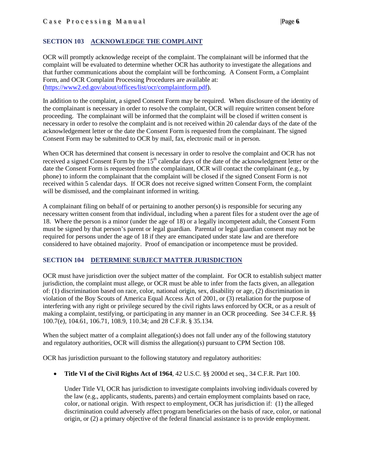# <span id="page-5-0"></span>**SECTION 103 ACKNOWLEDGE THE COMPLAINT**

OCR will promptly acknowledge receipt of the complaint. The complainant will be informed that the complaint will be evaluated to determine whether OCR has authority to investigate the allegations and that further communications about the complaint will be forthcoming. A Consent Form, a Complaint Form, and OCR Complaint Processing Procedures are available at: [\(https://www2.ed.gov/about/offices/list/ocr/complaintform.pdf\)](https://www2.ed.gov/about/offices/list/ocr/complaintform.pdf).

In addition to the complaint, a signed Consent Form may be required. When disclosure of the identity of the complainant is necessary in order to resolve the complaint, OCR will require written consent before proceeding. The complainant will be informed that the complaint will be closed if written consent is necessary in order to resolve the complaint and is not received within 20 calendar days of the date of the acknowledgement letter or the date the Consent Form is requested from the complainant. The signed Consent Form may be submitted to OCR by mail, fax, electronic mail or in person.

When OCR has determined that consent is necessary in order to resolve the complaint and OCR has not received a signed Consent Form by the 15<sup>th</sup> calendar days of the date of the acknowledgment letter or the date the Consent Form is requested from the complainant, OCR will contact the complainant (e.g., by phone) to inform the complainant that the complaint will be closed if the signed Consent Form is not received within 5 calendar days. If OCR does not receive signed written Consent Form, the complaint will be dismissed, and the complainant informed in writing.

A complainant filing on behalf of or pertaining to another person(s) is responsible for securing any necessary written consent from that individual, including when a parent files for a student over the age of 18. Where the person is a minor (under the age of 18) or a legally incompetent adult, the Consent Form must be signed by that person's parent or legal guardian. Parental or legal guardian consent may not be required for persons under the age of 18 if they are emancipated under state law and are therefore considered to have obtained majority. Proof of emancipation or incompetence must be provided.

## <span id="page-5-1"></span>**SECTION 104 DETERMINE SUBJECT MATTER JURISDICTION**

OCR must have jurisdiction over the subject matter of the complaint. For OCR to establish subject matter jurisdiction, the complaint must allege, or OCR must be able to infer from the facts given, an allegation of: (1) discrimination based on race, color, national origin, sex, disability or age, (2) discrimination in violation of the Boy Scouts of America Equal Access Act of 2001, or (3) retaliation for the purpose of interfering with any right or privilege secured by the civil rights laws enforced by OCR, or as a result of making a complaint, testifying, or participating in any manner in an OCR proceeding. See 34 C.F.R. §§ 100.7(e), 104.61, 106.71, 108.9, 110.34; and 28 C.F.R. § 35.134.

When the subject matter of a complaint allegation(s) does not fall under any of the following statutory and regulatory authorities, OCR will dismiss the allegation(s) pursuant to CPM Section 108.

OCR has jurisdiction pursuant to the following statutory and regulatory authorities:

• **Title VI of the Civil Rights Act of 1964**, 42 U.S.C. §§ 2000d et seq., 34 C.F.R. Part 100.

Under Title VI, OCR has jurisdiction to investigate complaints involving individuals covered by the law (e.g., applicants, students, parents) and certain employment complaints based on race, color, or national origin. With respect to employment, OCR has jurisdiction if: (1) the alleged discrimination could adversely affect program beneficiaries on the basis of race, color, or national origin, or (2) a primary objective of the federal financial assistance is to provide employment.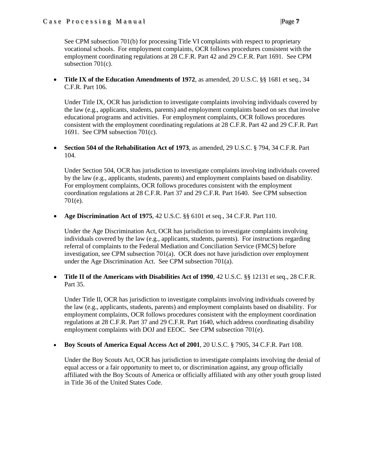## Case Processing Manual |Page **7**

See CPM subsection 701(b) for processing Title VI complaints with respect to proprietary vocational schools. For employment complaints, OCR follows procedures consistent with the employment coordinating regulations at 28 C.F.R. Part 42 and 29 C.F.R. Part 1691. See CPM subsection 701(c).

• **Title IX of the Education Amendments of 1972**, as amended, 20 U.S.C. §§ 1681 et seq., 34 C.F.R. Part 106.

Under Title IX, OCR has jurisdiction to investigate complaints involving individuals covered by the law (e.g., applicants, students, parents) and employment complaints based on sex that involve educational programs and activities. For employment complaints, OCR follows procedures consistent with the employment coordinating regulations at 28 C.F.R. Part 42 and 29 C.F.R. Part 1691. See CPM subsection 701(c).

• **Section 504 of the Rehabilitation Act of 1973**, as amended, 29 U.S.C. § 794, 34 C.F.R. Part 104.

Under Section 504, OCR has jurisdiction to investigate complaints involving individuals covered by the law (e.g., applicants, students, parents) and employment complaints based on disability. For employment complaints, OCR follows procedures consistent with the employment coordination regulations at 28 C.F.R. Part 37 and 29 C.F.R. Part 1640. See CPM subsection 701(e).

• **Age Discrimination Act of 1975**, 42 U.S.C. §§ 6101 et seq., 34 C.F.R. Part 110.

Under the Age Discrimination Act, OCR has jurisdiction to investigate complaints involving individuals covered by the law (e.g., applicants, students, parents). For instructions regarding referral of complaints to the Federal Mediation and Conciliation Service (FMCS) before investigation, see CPM subsection 701(a). OCR does not have jurisdiction over employment under the Age Discrimination Act. See CPM su[bsection 701\(a\).](http://www2.ed.gov/print/about/offices/list/ocr/docs/ocrcpm.html#VI_1_a_1)

• **Title II of the Americans** *w***ith Disabilities Act of 1990**, 42 U.S.C. §§ 12131 et seq., 28 C.F.R. Part 35.

Under Title II, OCR has jurisdiction to investigate complaints involving individuals covered by the law (e.g., applicants, students, parents) and employment complaints based on disability. For employment complaints, OCR follows procedures consistent with the employment coordination regulations at 28 C.F.R. Part 37 and 29 C.F.R. Part 1640, which address coordinating disability employment complaints with DOJ and EEOC. See CPM subsection 701(e).

• **Boy Scouts of America Equal Access Act of 2001**, 20 U.S.C. § 7905, 34 C.F.R. Part 108.

Under the Boy Scouts Act, OCR has jurisdiction to investigate complaints involving the denial of equal access or a fair opportunity to meet to, or discrimination against, any group officially affiliated with the Boy Scouts of America or officially affiliated with any other youth group listed in Title 36 of the United States Code.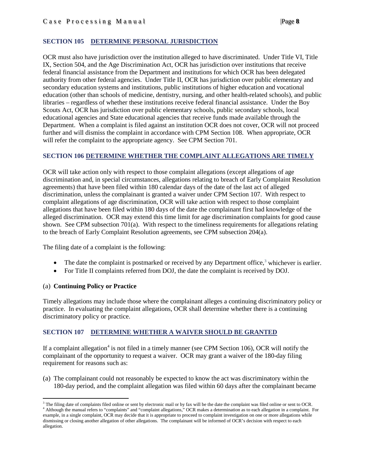## <span id="page-7-0"></span>**SECTION 105 DETERMINE PERSONAL JURISDICTION**

OCR must also have jurisdiction over the institution alleged to have discriminated. Under Title VI, Title IX, Section 504, and the Age Discrimination Act, OCR has jurisdiction over institutions that receive federal financial assistance from the Department and institutions for which OCR has been delegated authority from other federal agencies. Under Title II, OCR has jurisdiction over public elementary and secondary education systems and institutions, public institutions of higher education and vocational education (other than schools of medicine, dentistry, nursing, and other health-related schools), and public libraries – regardless of whether these institutions receive federal financial assistance. Under the Boy Scouts Act, OCR has jurisdiction over public elementary schools, public secondary schools, local educational agencies and State educational agencies that receive funds made available through the Department. When a complaint is filed against an institution OCR does not cover, OCR will not proceed further and will dismiss the complaint in accordance with CPM Section 108. When appropriate, OCR will refer the complaint to the appropriate agency. See CPM Section 701.

## <span id="page-7-1"></span>**SECTION 106 DETERMINE WHETHER THE COMPLAINT ALLEGATIONS ARE TIMELY**

OCR will take action only with respect to those complaint allegations (except allegations of age discrimination and, in special circumstances, allegations relating to breach of Early Complaint Resolution agreements) that have been filed within 180 calendar days of the date of the last act of alleged discrimination, unless the complainant is granted a waiver under CPM Section 107. With respect to complaint allegations of age discrimination, OCR will take action with respect to those complaint allegations that have been filed within 180 days of the date the complainant first had knowledge of the alleged discrimination. OCR may extend this time limit for age discrimination complaints for good cause shown. See CPM subsection 701(a). With respect to the timeliness requirements for allegations relating to the breach of Early Complaint Resolution agreements, see CPM subsection 204(a).

The filing date of a complaint is the following:

- The date the complaint is postmarked or received by any Department office, $3$  whichever is earlier.
- For Title II complaints referred from DOJ, the date the complaint is received by DOJ.

## (a) **Continuing Policy or Practice**

Timely allegations may include those where the complainant alleges a continuing discriminatory policy or practice. In evaluating the complaint allegations, OCR shall determine whether there is a continuing discriminatory policy or practice.

## <span id="page-7-2"></span>**SECTION 107 DETERMINE WHETHER A WAIVER SHOULD BE GRANTED**

If a complaint allegation<sup>4</sup> is not filed in a timely manner (see CPM Section 106), OCR will notify the complainant of the opportunity to request a waiver. OCR may grant a waiver of the 180-day filing requirement for reasons such as:

(a) The complainant could not reasonably be expected to know the act was discriminatory within the 180-day period, and the complaint allegation was filed within 60 days after the complainant became

<span id="page-7-3"></span>l  $3$  The filing date of complaints filed online or sent by electronic mail or by fax will be the date the complaint was filed online or sent to OCR.<br> $4$  Although the manual refers to "complaints" and "complaint allegations

<span id="page-7-4"></span>example, in a single complaint, OCR may decide that it is appropriate to proceed to complaint investigation on one or more allegations while dismissing or closing another allegation of other allegations. The complainant will be informed of OCR's decision with respect to each allegation.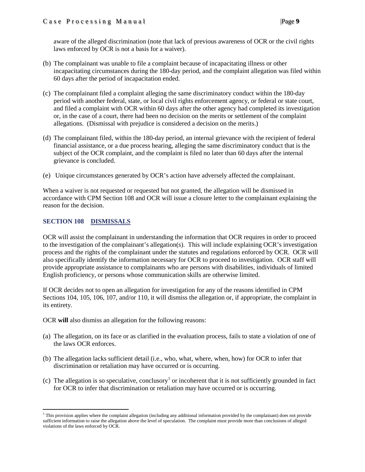aware of the alleged discrimination (note that lack of previous awareness of OCR or the civil rights laws enforced by OCR is not a basis for a waiver).

- (b) The complainant was unable to file a complaint because of incapacitating illness or other incapacitating circumstances during the 180-day period, and the complaint allegation was filed within 60 days after the period of incapacitation ended.
- (c) The complainant filed a complaint alleging the same discriminatory conduct within the 180-day period with another federal, state, or local civil rights enforcement agency, or federal or state court, and filed a complaint with OCR within 60 days after the other agency had completed its investigation or, in the case of a court, there had been no decision on the merits or settlement of the complaint allegations. (Dismissal with prejudice is considered a decision on the merits.)
- (d) The complainant filed, within the 180-day period, an internal grievance with the recipient of federal financial assistance, or a due process hearing, alleging the same discriminatory conduct that is the subject of the OCR complaint, and the complaint is filed no later than 60 days after the internal grievance is concluded.
- (e) Unique circumstances generated by OCR's action have adversely affected the complainant.

When a waiver is not requested or requested but not granted, the allegation will be dismissed in accordance with CPM Section 108 and OCR will issue a closure letter to the complainant explaining the reason for the decision.

# <span id="page-8-0"></span>**SECTION 108 DISMISSALS**

l

OCR will assist the complainant in understanding the information that OCR requires in order to proceed to the investigation of the complainant's allegation(s). This will include explaining OCR's investigation process and the rights of the complainant under the statutes and regulations enforced by OCR. OCR will also specifically identify the information necessary for OCR to proceed to investigation. OCR staff will provide appropriate assistance to complainants who are persons with disabilities, individuals of limited English proficiency, or persons whose communication skills are otherwise limited.

If OCR decides not to open an allegation for investigation for any of the reasons identified in CPM Sections 104, 105, 106, 107, and/or 110, it will dismiss the allegation or, if appropriate, the complaint in its entirety.

OCR **will** also dismiss an allegation for the following reasons:

- (a) The allegation, on its face or as clarified in the evaluation process, fails to state a violation of one of the laws OCR enforces.
- (b) The allegation lacks sufficient detail (i.e., who, what, where, when, how) for OCR to infer that discrimination or retaliation may have occurred or is occurring.
- (c) The allegation is so speculative, conclusory<sup>5</sup> or incoherent that it is not sufficiently grounded in fact for OCR to infer that discrimination or retaliation may have occurred or is occurring.

<span id="page-8-1"></span> $<sup>5</sup>$  This provision applies where the complaint allegation (including any additional information provided by the complainant) does not provide</sup> sufficient information to raise the allegation above the level of speculation. The complaint must provide more than conclusions of alleged violations of the laws enforced by OCR.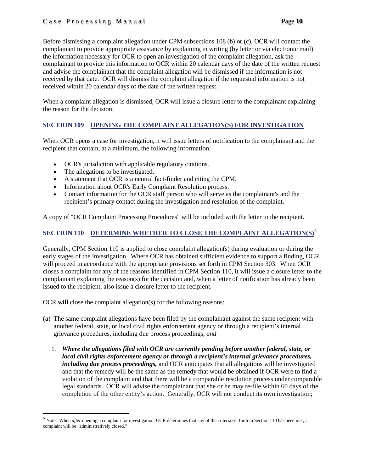Before dismissing a complaint allegation under CPM subsections 108 (b) or (c), OCR will contact the complainant to provide appropriate assistance by explaining in writing (by letter or via electronic mail) the information necessary for OCR to open an investigation of the complaint allegation, ask the complainant to provide this information to OCR within 20 calendar days of the date of the written request and advise the complainant that the complaint allegation will be dismissed if the information is not received by that date. OCR will dismiss the complaint allegation if the requested information is not received within 20 calendar days of the date of the written request.

When a complaint allegation is dismissed, OCR will issue a closure letter to the complainant explaining the reason for the decision.

## <span id="page-9-0"></span>**SECTION 109 OPENING THE COMPLAINT ALLEGATION(S) FOR INVESTIGATION**

When OCR opens a case for investigation, it will issue letters of notification to the complainant and the recipient that contain, at a minimum, the following information:

- OCR's jurisdiction with applicable regulatory citations.
- The allegations to be investigated.
- A statement that OCR is a neutral fact-finder and citing the CPM.
- Information about OCR's Early Complaint Resolution process.
- Contact information for the OCR staff person who will serve as the complainant's and the recipient's primary contact during the investigation and resolution of the complaint.

<span id="page-9-1"></span>A copy of "OCR Complaint Processing Procedures" will be included with the letter to the recipient.

# **SECTION 110 DETERMINE WHETHER TO CLOSE THE COMPLAINT ALLEGATION(S)[6](#page-9-2)**

Generally, CPM Section 110 is applied to close complaint allegation(s) during evaluation or during the early stages of the investigation. Where OCR has obtained sufficient evidence to support a finding, OCR will proceed in accordance with the appropriate provisions set forth in CPM Section 303. When OCR closes a complaint for any of the reasons identified in CPM Section 110, it will issue a closure letter to the complainant explaining the reason(s) for the decision and, when a letter of notification has already been issued to the recipient, also issue a closure letter to the recipient.

OCR **will** close the complaint allegation(s) for the following reasons:

- (a) The same complaint allegations have been filed by the complainant against the same recipient with another federal, state, or local civil rights enforcement agency or through a recipient's internal grievance procedures, including due process proceedings, *and*
	- 1. *Where the allegations filed with OCR are currently pending before another federal, state, or local civil rights enforcement agency or through a recipient's internal grievance procedures, including due process proceedings,* and OCR anticipates that all allegations will be investigated and that the remedy will be the same as the remedy that would be obtained if OCR were to find a violation of the complaint and that there will be a comparable resolution process under comparable legal standards. OCR will advise the complainant that she or he may re-file within 60 days of the completion of the other entity's action. Generally, OCR will not conduct its own investigation;

<span id="page-9-2"></span><sup>&</sup>lt;sup>6</sup> Note: When *after* opening a complaint for investigation, OCR determines that any of the criteria set forth in Section 110 has been met, a complaint will be "administratively closed."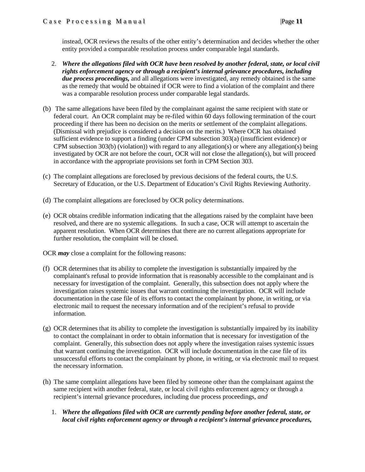instead, OCR reviews the results of the other entity's determination and decides whether the other entity provided a comparable resolution process under comparable legal standards.

- 2. *Where the allegations filed with OCR have been resolved by another federal, state, or local civil rights enforcement agency or through a recipient's internal grievance procedures, including due process proceedings,* and all allegations were investigated, any remedy obtained is the same as the remedy that would be obtained if OCR were to find a violation of the complaint and there was a comparable resolution process under comparable legal standards.
- (b) The same allegations have been filed by the complainant against the same recipient with state or federal court. An OCR complaint may be re-filed within 60 days following termination of the court proceeding if there has been no decision on the merits or settlement of the complaint allegations. (Dismissal with prejudice is considered a decision on the merits.) Where OCR has obtained sufficient evidence to support a finding (under CPM subsection 303(a) (insufficient evidence) or CPM subsection 303(b) (violation)) with regard to any allegation(s) or where any allegation(s) being investigated by OCR are not before the court, OCR will not close the allegation(s), but will proceed in accordance with the appropriate provisions set forth in CPM Section 303.
- (c) The complaint allegations are foreclosed by previous decisions of the federal courts, the U.S. Secretary of Education, or the U.S. Department of Education's Civil Rights Reviewing Authority.
- (d) The complaint allegations are foreclosed by OCR policy determinations.
- (e) OCR obtains credible information indicating that the allegations raised by the complaint have been resolved, and there are no systemic allegations. In such a case, OCR will attempt to ascertain the apparent resolution. When OCR determines that there are no current allegations appropriate for further resolution, the complaint will be closed.

OCR *may* close a complaint for the following reasons:

- (f) OCR determines that its ability to complete the investigation is substantially impaired by the complainant's refusal to provide information that is reasonably accessible to the complainant and is necessary for investigation of the complaint. Generally, this subsection does not apply where the investigation raises systemic issues that warrant continuing the investigation. OCR will include documentation in the case file of its efforts to contact the complainant by phone, in writing, or via electronic mail to request the necessary information and of the recipient's refusal to provide information.
- $(g)$  OCR determines that its ability to complete the investigation is substantially impaired by its inability to contact the complainant in order to obtain information that is necessary for investigation of the complaint. Generally, this subsection does not apply where the investigation raises systemic issues that warrant continuing the investigation. OCR will include documentation in the case file of its unsuccessful efforts to contact the complainant by phone, in writing, or via electronic mail to request the necessary information.
- (h) The same complaint allegations have been filed by someone other than the complainant against the same recipient with another federal, state, or local civil rights enforcement agency or through a recipient's internal grievance procedures, including due process proceedings, *and*
	- 1. *Where the allegations filed with OCR are currently pending before another federal, state, or local civil rights enforcement agency or through a recipient's internal grievance procedures,*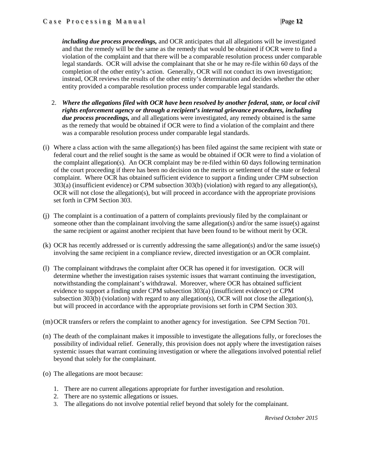*including due process proceedings,* and OCR anticipates that all allegations will be investigated and that the remedy will be the same as the remedy that would be obtained if OCR were to find a violation of the complaint and that there will be a comparable resolution process under comparable legal standards. OCR will advise the complainant that she or he may re-file within 60 days of the completion of the other entity's action. Generally, OCR will not conduct its own investigation; instead, OCR reviews the results of the other entity's determination and decides whether the other entity provided a comparable resolution process under comparable legal standards.

- 2. *Where the allegations filed with OCR have been resolved by another federal, state, or local civil rights enforcement agency or through a recipient's internal grievance procedures, including due process proceedings,* and all allegations were investigated, any remedy obtained is the same as the remedy that would be obtained if OCR were to find a violation of the complaint and there was a comparable resolution process under comparable legal standards.
- (i) Where a class action with the same allegation(s) has been filed against the same recipient with state or federal court and the relief sought is the same as would be obtained if OCR were to find a violation of the complaint allegation(s). An OCR complaint may be re-filed within 60 days following termination of the court proceeding if there has been no decision on the merits or settlement of the state or federal complaint. Where OCR has obtained sufficient evidence to support a finding under CPM subsection 303(a) (insufficient evidence) or CPM subsection 303(b) (violation) with regard to any allegation(s), OCR will not close the allegation(s), but will proceed in accordance with the appropriate provisions set forth in CPM Section 303.
- (j) The complaint is a continuation of a pattern of complaints previously filed by the complainant or someone other than the complainant involving the same allegation(s) and/or the same issue(s) against the same recipient or against another recipient that have been found to be without merit by OCR.
- (k) OCR has recently addressed or is currently addressing the same allegation(s) and/or the same issue(s) involving the same recipient in a compliance review, directed investigation or an OCR complaint.
- (l) The complainant withdraws the complaint after OCR has opened it for investigation. OCR will determine whether the investigation raises systemic issues that warrant continuing the investigation, notwithstanding the complainant's withdrawal. Moreover, where OCR has obtained sufficient evidence to support a finding under CPM subsection 303(a) (insufficient evidence) or CPM subsection 303(b) (violation) with regard to any allegation(s), OCR will not close the allegation(s), but will proceed in accordance with the appropriate provisions set forth in CPM Section 303.
- (m)OCR transfers or refers the complaint to another agency for investigation. See CPM Section 701.
- (n) The death of the complainant makes it impossible to investigate the allegations fully, or forecloses the possibility of individual relief. Generally, this provision does not apply where the investigation raises systemic issues that warrant continuing investigation or where the allegations involved potential relief beyond that solely for the complainant.
- (o) The allegations are moot because:
	- 1. There are no current allegations appropriate for further investigation and resolution.
	- 2. There are no systemic allegations or issues.
	- 3. The allegations do not involve potential relief beyond that solely for the complainant.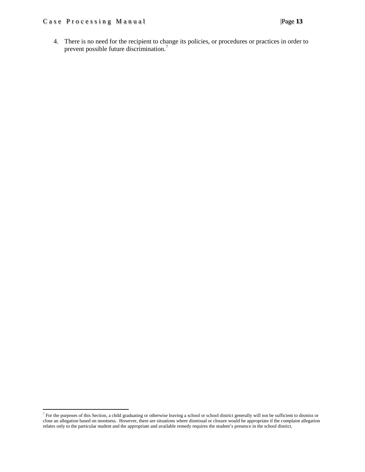# Case Processing Manual |Page 13

l

4. There is no need for the recipient to change its policies, or procedures or practices in order to prevent possible future discrimination.[7](#page-12-0)

<span id="page-12-0"></span> $<sup>7</sup>$  For the purposes of this Section, a child graduating or otherwise leaving a school or school district generally will not be sufficient to dismiss or</sup> close an allegation based on mootness. However, there are situations where dismissal or closure would be appropriate if the complaint allegation relates only to the particular student and the appropriate and available remedy requires the student's presence in the school district.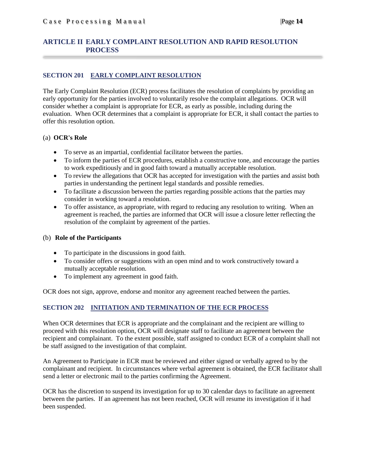## <span id="page-13-0"></span>**ARTICLE II EARLY COMPLAINT RESOLUTION AND RAPID RESOLUTION PROCESS**

## <span id="page-13-1"></span>**SECTION 201 EARLY COMPLAINT RESOLUTION**

The Early Complaint Resolution (ECR) process facilitates the resolution of complaints by providing an early opportunity for the parties involved to voluntarily resolve the complaint allegations. OCR will consider whether a complaint is appropriate for ECR, as early as possible, including during the evaluation. When OCR determines that a complaint is appropriate for ECR, it shall contact the parties to offer this resolution option.

## (a) **OCR's Role**

- To serve as an impartial, confidential facilitator between the parties.
- To inform the parties of ECR procedures, establish a constructive tone, and encourage the parties to work expeditiously and in good faith toward a mutually acceptable resolution.
- To review the allegations that OCR has accepted for investigation with the parties and assist both parties in understanding the pertinent legal standards and possible remedies.
- To facilitate a discussion between the parties regarding possible actions that the parties may consider in working toward a resolution.
- To offer assistance, as appropriate, with regard to reducing any resolution to writing. When an agreement is reached, the parties are informed that OCR will issue a closure letter reflecting the resolution of the complaint by agreement of the parties.

#### (b) **Role of the Participants**

- To participate in the discussions in good faith.
- To consider offers or suggestions with an open mind and to work constructively toward a mutually acceptable resolution.
- To implement any agreement in good faith.

<span id="page-13-2"></span>OCR does not sign, approve, endorse and monitor any agreement reached between the parties.

## **SECTION 202 INITIATION AND TERMINATION OF THE ECR PROCESS**

When OCR determines that ECR is appropriate and the complainant and the recipient are willing to proceed with this resolution option, OCR will designate staff to facilitate an agreement between the recipient and complainant. To the extent possible, staff assigned to conduct ECR of a complaint shall not be staff assigned to the investigation of that complaint.

An Agreement to Participate in ECR must be reviewed and either signed or verbally agreed to by the complainant and recipient. In circumstances where verbal agreement is obtained, the ECR facilitator shall send a letter or electronic mail to the parties confirming the Agreement.

OCR has the discretion to suspend its investigation for up to 30 calendar days to facilitate an agreement between the parties. If an agreement has not been reached, OCR will resume its investigation if it had been suspended.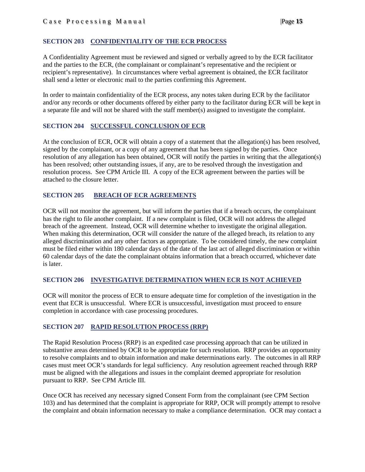## <span id="page-14-0"></span>**SECTION 203 CONFIDENTIALITY OF THE ECR PROCESS**

A Confidentiality Agreement must be reviewed and signed or verbally agreed to by the ECR facilitator and the parties to the ECR, (the complainant or complainant's representative and the recipient or recipient's representative). In circumstances where verbal agreement is obtained, the ECR facilitator shall send a letter or electronic mail to the parties confirming this Agreement.

In order to maintain confidentiality of the ECR process, any notes taken during ECR by the facilitator and/or any records or other documents offered by either party to the facilitator during ECR will be kept in a separate file and will not be shared with the staff member(s) assigned to investigate the complaint.

## <span id="page-14-1"></span>**SECTION 204 SUCCESSFUL CONCLUSION OF ECR**

At the conclusion of ECR, OCR will obtain a copy of a statement that the allegation(s) has been resolved, signed by the complainant, or a copy of any agreement that has been signed by the parties. Once resolution of any allegation has been obtained, OCR will notify the parties in writing that the allegation(s) has been resolved; other outstanding issues, if any, are to be resolved through the investigation and resolution process. See CPM Article III. A copy of the ECR agreement between the parties will be attached to the closure letter.

## <span id="page-14-2"></span>**SECTION 205 BREACH OF ECR AGREEMENTS**

OCR will not monitor the agreement, but will inform the parties that if a breach occurs, the complainant has the right to file another complaint. If a new complaint is filed, OCR will not address the alleged breach of the agreement. Instead, OCR will determine whether to investigate the original allegation. When making this determination, OCR will consider the nature of the alleged breach, its relation to any alleged discrimination and any other factors as appropriate. To be considered timely, the new complaint must be filed either within 180 calendar days of the date of the last act of alleged discrimination or within 60 calendar days of the date the complainant obtains information that a breach occurred, whichever date is later.

## <span id="page-14-3"></span>**SECTION 206 INVESTIGATIVE DETERMINATION WHEN ECR IS NOT ACHIEVED**

OCR will monitor the process of ECR to ensure adequate time for completion of the investigation in the event that ECR is unsuccessful. Where ECR is unsuccessful, investigation must proceed to ensure completion in accordance with case processing procedures.

## <span id="page-14-4"></span>**SECTION 207 RAPID RESOLUTION PROCESS (RRP)**

The Rapid Resolution Process (RRP) is an expedited case processing approach that can be utilized in substantive areas determined by OCR to be appropriate for such resolution. RRP provides an opportunity to resolve complaints and to obtain information and make determinations early. The outcomes in all RRP cases must meet OCR's standards for legal sufficiency. Any resolution agreement reached through RRP must be aligned with the allegations and issues in the complaint deemed appropriate for resolution pursuant to RRP. See CPM Article III.

Once OCR has received any necessary signed Consent Form from the complainant (see CPM Section 103) and has determined that the complaint is appropriate for RRP, OCR will promptly attempt to resolve the complaint and obtain information necessary to make a compliance determination. OCR may contact a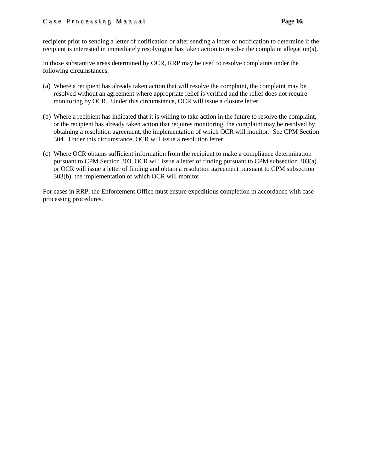recipient prior to sending a letter of notification or after sending a letter of notification to determine if the recipient is interested in immediately resolving or has taken action to resolve the complaint allegation(s).

In those substantive areas determined by OCR, RRP may be used to resolve complaints under the following circumstances:

- (a) Where a recipient has already taken action that will resolve the complaint, the complaint may be resolved without an agreement where appropriate relief is verified and the relief does not require monitoring by OCR. Under this circumstance, OCR will issue a closure letter.
- (b) Where a recipient has indicated that it is willing to take action in the future to resolve the complaint, or the recipient has already taken action that requires monitoring, the complaint may be resolved by obtaining a resolution agreement, the implementation of which OCR will monitor. See CPM Section 304. Under this circumstance, OCR will issue a resolution letter.
- (c) Where OCR obtains sufficient information from the recipient to make a compliance determination pursuant to CPM Section 303, OCR will issue a letter of finding pursuant to CPM subsection 303(a) or OCR will issue a letter of finding and obtain a resolution agreement pursuant to CPM subsection 303(b), the implementation of which OCR will monitor.

For cases in RRP, the Enforcement Office must ensure expeditious completion in accordance with case processing procedures.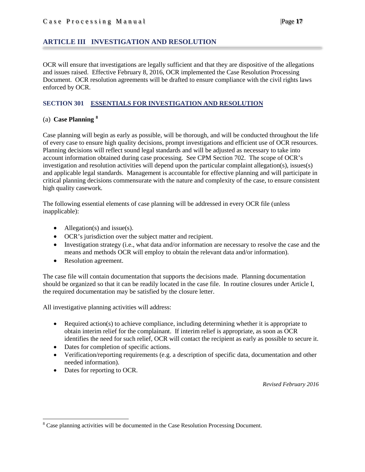## <span id="page-16-0"></span>**ARTICLE III INVESTIGATION AND RESOLUTION**

OCR will ensure that investigations are legally sufficient and that they are dispositive of the allegations and issues raised. Effective February 8, 2016, OCR implemented the Case Resolution Processing Document. OCR resolution agreements will be drafted to ensure compliance with the civil rights laws enforced by OCR.

## <span id="page-16-1"></span>**SECTION 301 ESSENTIALS FOR INVESTIGATION AND RESOLUTION**

## (a) **Case Planning [8](#page-16-2)**

Case planning will begin as early as possible, will be thorough, and will be conducted throughout the life of every case to ensure high quality decisions, prompt investigations and efficient use of OCR resources. Planning decisions will reflect sound legal standards and will be adjusted as necessary to take into account information obtained during case processing. See CPM Section 702. The scope of OCR's investigation and resolution activities will depend upon the particular complaint allegation(s), issues(s) and applicable legal standards. Management is accountable for effective planning and will participate in critical planning decisions commensurate with the nature and complexity of the case, to ensure consistent high quality casework.

The following essential elements of case planning will be addressed in every OCR file (unless inapplicable):

- Allegation(s) and issue(s).
- OCR's jurisdiction over the subject matter and recipient.
- Investigation strategy (i.e., what data and/or information are necessary to resolve the case and the means and methods OCR will employ to obtain the relevant data and/or information).
- Resolution agreement.

The case file will contain documentation that supports the decisions made. Planning documentation should be organized so that it can be readily located in the case file. In routine closures under Article I, the required documentation may be satisfied by the closure letter.

All investigative planning activities will address:

- Required action(s) to achieve compliance, including determining whether it is appropriate to obtain interim relief for the complainant. If interim relief is appropriate, as soon as OCR identifies the need for such relief, OCR will contact the recipient as early as possible to secure it.
- Dates for completion of specific actions.
- Verification/reporting requirements (e.g. a description of specific data, documentation and other needed information).
- Dates for reporting to OCR.

*Revised February 2016*

<span id="page-16-2"></span><sup>&</sup>lt;sup>8</sup> Case planning activities will be documented in the Case Resolution Processing Document.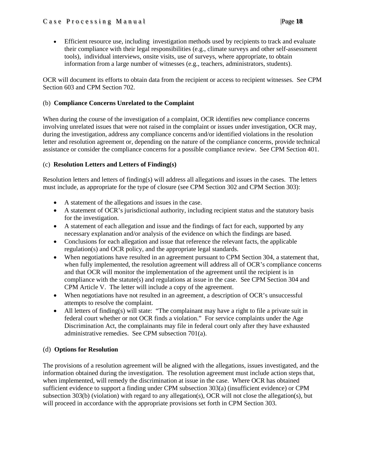• Efficient resource use, including investigation methods used by recipients to track and evaluate their compliance with their legal responsibilities (e.g., climate surveys and other self-assessment tools), individual interviews, onsite visits, use of surveys, where appropriate, to obtain information from a large number of witnesses (e.g., teachers, administrators, students).

OCR will document its efforts to obtain data from the recipient or access to recipient witnesses. See CPM Section 603 and CPM Section 702.

## (b) **Compliance Concerns Unrelated to the Complaint**

When during the course of the investigation of a complaint, OCR identifies new compliance concerns involving unrelated issues that were not raised in the complaint or issues under investigation, OCR may, during the investigation, address any compliance concerns and/or identified violations in the resolution letter and resolution agreement or, depending on the nature of the compliance concerns, provide technical assistance or consider the compliance concerns for a possible compliance review. See CPM Section 401.

## (c) **Resolution Letters and Letters of Finding(s)**

Resolution letters and letters of finding(s) will address all allegations and issues in the cases. The letters must include, as appropriate for the type of closure (see CPM Section 302 and CPM Section 303):

- A statement of the allegations and issues in the case.
- A statement of OCR's jurisdictional authority, including recipient status and the statutory basis for the investigation.
- A statement of each allegation and issue and the findings of fact for each, supported by any necessary explanation and/or analysis of the evidence on which the findings are based.
- Conclusions for each allegation and issue that reference the relevant facts, the applicable regulation(s) and OCR policy, and the appropriate legal standards.
- When negotiations have resulted in an agreement pursuant to CPM Section 304, a statement that, when fully implemented, the resolution agreement will address all of OCR's compliance concerns and that OCR will monitor the implementation of the agreement until the recipient is in compliance with the statute(s) and regulations at issue in the case. See CPM Section 304 and CPM Article V. The letter will include a copy of the agreement.
- When negotiations have not resulted in an agreement, a description of OCR's unsuccessful attempts to resolve the complaint.
- All letters of finding(s) will state: "The complainant may have a right to file a private suit in federal court whether or not OCR finds a violation." For service complaints under the Age Discrimination Act, the complainants may file in federal court only after they have exhausted administrative remedies. See CPM subsection 701(a).

## (d) **Options for Resolution**

The provisions of a resolution agreement will be aligned with the allegations, issues investigated, and the information obtained during the investigation. The resolution agreement must include action steps that, when implemented, will remedy the discrimination at issue in the case. Where OCR has obtained sufficient evidence to support a finding under CPM subsection 303(a) (insufficient evidence) or CPM subsection 303(b) (violation) with regard to any allegation(s), OCR will not close the allegation(s), but will proceed in accordance with the appropriate provisions set forth in CPM Section 303.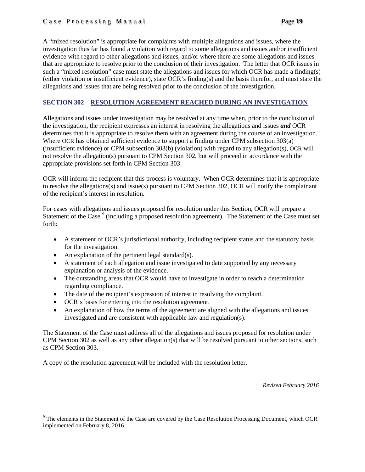## Case Processing Manual |Page **19**

A "mixed resolution" is appropriate for complaints with multiple allegations and issues, where the investigation thus far has found a violation with regard to some allegations and issues and/or insufficient evidence with regard to other allegations and issues, and/or where there are some allegations and issues that are appropriate to resolve prior to the conclusion of their investigation. The letter that OCR issues in such a "mixed resolution" case must state the allegations and issues for which OCR has made a finding(s) (either violation or insufficient evidence), state OCR's finding(s) and the basis therefor, and must state the allegations and issues that are being resolved prior to the conclusion of the investigation.

## <span id="page-18-0"></span>**SECTION 302 RESOLUTION AGREEMENT REACHED DURING AN INVESTIGATION**

Allegations and issues under investigation may be resolved at any time when, prior to the conclusion of the investigation, the recipient expresses an interest in resolving the allegations and issues *and* OCR determines that it is appropriate to resolve them with an agreement during the course of an investigation. Where OCR has obtained sufficient evidence to support a finding under CPM subsection 303(a) (insufficient evidence) or CPM subsection 303(b) (violation) with regard to any allegation(s), OCR will not resolve the allegation(s) pursuant to CPM Section 302, but will proceed in accordance with the appropriate provisions set forth in CPM Section 303.

OCR will inform the recipient that this process is voluntary. When OCR determines that it is appropriate to resolve the allegations(s) and issue(s) pursuant to CPM Section 302, OCR will notify the complainant of the recipient's interest in resolution.

For cases with allegations and issues proposed for resolution under this Section, OCR will prepare a Statement of the Case <sup>[9](#page-18-1)</sup> (including a proposed resolution agreement). The Statement of the Case must set forth:

- A statement of OCR's jurisdictional authority, including recipient status and the statutory basis for the investigation.
- An explanation of the pertinent legal standard(s).
- A statement of each allegation and issue investigated to date supported by any necessary explanation or analysis of the evidence.
- The outstanding areas that OCR would have to investigate in order to reach a determination regarding compliance.
- The date of the recipient's expression of interest in resolving the complaint.
- OCR's basis for entering into the resolution agreement.
- An explanation of how the terms of the agreement are aligned with the allegations and issues investigated and are consistent with applicable law and regulation(s).

The Statement of the Case must address all of the allegations and issues proposed for resolution under CPM Section 302 as well as any other allegation(s) that will be resolved pursuant to other sections, such as CPM Section 303.

A copy of the resolution agreement will be included with the resolution letter.

*Revised February 2016*

<span id="page-18-1"></span><sup>&</sup>lt;sup>9</sup> The elements in the Statement of the Case are covered by the Case Resolution Processing Document, which OCR implemented on February 8, 2016.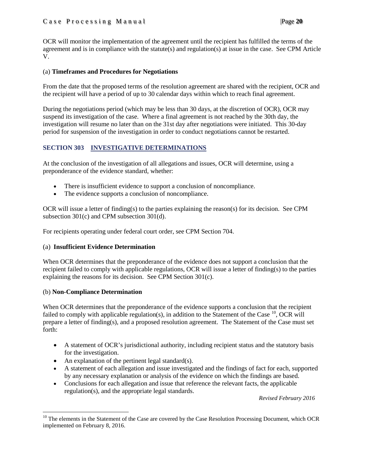## Case Processing Manual |Page **20**

OCR will monitor the implementation of the agreement until the recipient has fulfilled the terms of the agreement and is in compliance with the statute(s) and regulation(s) at issue in the case. See CPM Article V.

## (a) **Timeframes and Procedures for Negotiations**

From the date that the proposed terms of the resolution agreement are shared with the recipient, OCR and the recipient will have a period of up to 30 calendar days within which to reach final agreement.

During the negotiations period (which may be less than 30 days, at the discretion of OCR), OCR may suspend its investigation of the case. Where a final agreement is not reached by the 30th day, the investigation will resume no later than on the 31st day after negotiations were initiated. This 30-day period for suspension of the investigation in order to conduct negotiations cannot be restarted.

# <span id="page-19-0"></span>**SECTION 303 INVESTIGATIVE DETERMINATIONS**

At the conclusion of the investigation of all allegations and issues, OCR will determine, using a preponderance of the evidence standard, whether:

- There is insufficient evidence to support a conclusion of noncompliance.
- The evidence supports a conclusion of noncompliance.

OCR will issue a letter of finding(s) to the parties explaining the reason(s) for its decision. See CPM subsection 301(c) and CPM subsection 301(d).

For recipients operating under federal court order, see CPM Section 704.

## (a) **Insufficient Evidence Determination**

When OCR determines that the preponderance of the evidence does not support a conclusion that the recipient failed to comply with applicable regulations, OCR will issue a letter of finding(s) to the parties explaining the reasons for its decision. See CPM Section 301(c).

## (b) **Non-Compliance Determination**

When OCR determines that the preponderance of the evidence supports a conclusion that the recipient failed to comply with applicable regulation(s), in addition to the Statement of the Case  $^{10}$ , OCR will prepare a letter of finding(s), and a proposed resolution agreement. The Statement of the Case must set forth:

- A statement of OCR's jurisdictional authority, including recipient status and the statutory basis for the investigation.
- An explanation of the pertinent legal standard(s).
- A statement of each allegation and issue investigated and the findings of fact for each, supported by any necessary explanation or analysis of the evidence on which the findings are based.
- Conclusions for each allegation and issue that reference the relevant facts, the applicable regulation(s), and the appropriate legal standards.

*Revised February 2016*

<span id="page-19-1"></span><sup>&</sup>lt;sup>10</sup> The elements in the Statement of the Case are covered by the Case Resolution Processing Document, which OCR implemented on February 8, 2016.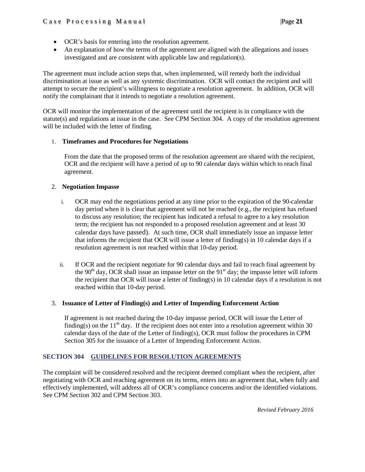- OCR's basis for entering into the resolution agreement.
- An explanation of how the terms of the agreement are aligned with the allegations and issues investigated and are consistent with applicable law and regulation(s).

The agreement must include action steps that, when implemented, will remedy both the individual discrimination at issue as well as any systemic discrimination. OCR will contact the recipient and will attempt to secure the recipient's willingness to negotiate a resolution agreement. In addition, OCR will notify the complainant that it intends to negotiate a resolution agreement.

OCR will monitor the implementation of the agreement until the recipient is in compliance with the statute(s) and regulations at issue in the case. See CPM Section 304. A copy of the resolution agreement will be included with the letter of finding.

## 1. **Timeframes and Procedures for Negotiations**

From the date that the proposed terms of the resolution agreement are shared with the recipient, OCR and the recipient will have a period of up to 90 calendar days within which to reach final agreement.

## 2. **Negotiation Impasse**

- i. OCR may end the negotiations period at any time prior to the expiration of the 90-calendar day period when it is clear that agreement will not be reached (e.g., the recipient has refused to discuss any resolution; the recipient has indicated a refusal to agree to a key resolution term; the recipient has not responded to a proposed resolution agreement and at least 30 calendar days have passed). At such time, OCR shall immediately issue an impasse letter that informs the recipient that OCR will issue a letter of finding(s) in 10 calendar days if a resolution agreement is not reached within that 10-day period.
- ii. If OCR and the recipient negotiate for 90 calendar days and fail to reach final agreement by the 90<sup>th</sup> day, OCR shall issue an impasse letter on the 91<sup>st</sup> day; the impasse letter will inform the recipient that OCR will issue a letter of finding(s) in 10 calendar days if a resolution is not reached within that 10-day period.

## 3. **Issuance of Letter of Finding(s) and Letter of Impending Enforcement Action**

If agreement is not reached during the 10-day impasse period, OCR will issue the Letter of finding(s) on the  $11<sup>th</sup>$  day. If the recipient does not enter into a resolution agreement within 30 calendar days of the date of the Letter of finding(s), OCR must follow the procedures in CPM Section 305 for the issuance of a Letter of Impending Enforcement Action.

## <span id="page-20-0"></span>**SECTION 304 GUIDELINES FOR RESOLUTION AGREEMENTS**

The complaint will be considered resolved and the recipient deemed compliant when the recipient, after negotiating with OCR and reaching agreement on its terms, enters into an agreement that, when fully and effectively implemented, will address all of OCR's compliance concerns and/or the identified violations. See CPM Section 302 and CPM Section 303.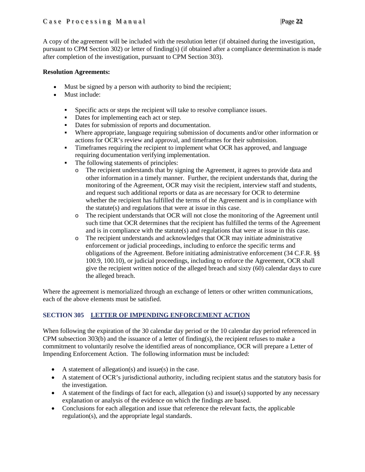## Case Processing Manual |Page **22**

A copy of the agreement will be included with the resolution letter (if obtained during the investigation, pursuant to CPM Section 302) or letter of finding(s) (if obtained after a compliance determination is made after completion of the investigation, pursuant to CPM Section 303).

## **Resolution Agreements:**

- Must be signed by a person with authority to bind the recipient;
- Must include:
	- Specific acts or steps the recipient will take to resolve compliance issues.
	- Dates for implementing each act or step.
	- Dates for submission of reports and documentation.
	- Where appropriate, language requiring submission of documents and/or other information or actions for OCR's review and approval, and timeframes for their submission.
	- Timeframes requiring the recipient to implement what OCR has approved, and language requiring documentation verifying implementation.
	- The following statements of principles:
		- o The recipient understands that by signing the Agreement, it agrees to provide data and other information in a timely manner. Further, the recipient understands that, during the monitoring of the Agreement, OCR may visit the recipient, interview staff and students, and request such additional reports or data as are necessary for OCR to determine whether the recipient has fulfilled the terms of the Agreement and is in compliance with the statute(s) and regulations that were at issue in this case.
		- o The recipient understands that OCR will not close the monitoring of the Agreement until such time that OCR determines that the recipient has fulfilled the terms of the Agreement and is in compliance with the statute(s) and regulations that were at issue in this case.
		- o The recipient understands and acknowledges that OCR may initiate administrative enforcement or judicial proceedings, including to enforce the specific terms and obligations of the Agreement. Before initiating administrative enforcement (34 C.F.R. §§ 100.9, 100.10), or judicial proceedings, including to enforce the Agreement, OCR shall give the recipient written notice of the alleged breach and sixty (60) calendar days to cure the alleged breach.

Where the agreement is memorialized through an exchange of letters or other written communications, each of the above elements must be satisfied.

## <span id="page-21-0"></span>**SECTION 305 LETTER OF IMPENDING ENFORCEMENT ACTION**

When following the expiration of the 30 calendar day period or the 10 calendar day period referenced in CPM subsection  $303(b)$  and the issuance of a letter of finding(s), the recipient refuses to make a commitment to voluntarily resolve the identified areas of noncompliance, OCR will prepare a Letter of Impending Enforcement Action. The following information must be included:

- A statement of allegation(s) and issue(s) in the case.
- A statement of OCR's jurisdictional authority, including recipient status and the statutory basis for the investigation.
- A statement of the findings of fact for each, allegation (s) and issue(s) supported by any necessary explanation or analysis of the evidence on which the findings are based.
- Conclusions for each allegation and issue that reference the relevant facts, the applicable regulation(s), and the appropriate legal standards.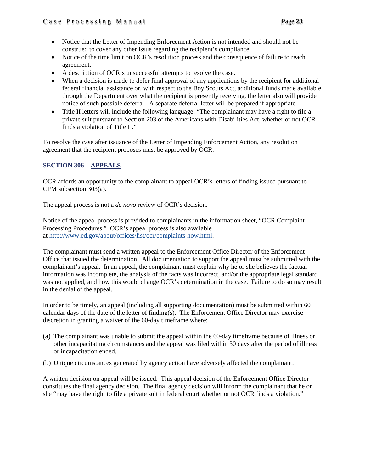- Notice that the Letter of Impending Enforcement Action is not intended and should not be construed to cover any other issue regarding the recipient's compliance.
- Notice of the time limit on OCR's resolution process and the consequence of failure to reach agreement.
- A description of OCR's unsuccessful attempts to resolve the case.
- When a decision is made to defer final approval of any applications by the recipient for additional federal financial assistance or, with respect to the Boy Scouts Act, additional funds made available through the Department over what the recipient is presently receiving, the letter also will provide notice of such possible deferral. A separate deferral letter will be prepared if appropriate.
- Title II letters will include the following language: "The complainant may have a right to file a private suit pursuant to Section 203 of the Americans with Disabilities Act, whether or not OCR finds a violation of Title II."

To resolve the case after issuance of the Letter of Impending Enforcement Action, any resolution agreement that the recipient proposes must be approved by OCR.

## <span id="page-22-0"></span>**SECTION 306 APPEALS**

OCR affords an opportunity to the complainant to appeal OCR's letters of finding issued pursuant to CPM subsection 303(a).

The appeal process is not a *de novo* review of OCR's decision.

Notice of the appeal process is provided to complainants in the information sheet, "OCR Complaint Processing Procedures." OCR's appeal process is also available at [http://www.ed.gov/about/offices/list/ocr/complaints-how.html.](http://www.ed.gov/about/offices/list/ocr/complaints-how.html)

The complainant must send a written appeal to the Enforcement Office Director of the Enforcement Office that issued the determination. All documentation to support the appeal must be submitted with the complainant's appeal. In an appeal, the complainant must explain why he or she believes the factual information was incomplete, the analysis of the facts was incorrect, and/or the appropriate legal standard was not applied, and how this would change OCR's determination in the case. Failure to do so may result in the denial of the appeal.

In order to be timely, an appeal (including all supporting documentation) must be submitted within 60 calendar days of the date of the letter of finding(s). The Enforcement Office Director may exercise discretion in granting a waiver of the 60-day timeframe where:

- (a) The complainant was unable to submit the appeal within the 60-day timeframe because of illness or other incapacitating circumstances and the appeal was filed within 30 days after the period of illness or incapacitation ended.
- (b) Unique circumstances generated by agency action have adversely affected the complainant.

A written decision on appeal will be issued. This appeal decision of the Enforcement Office Director constitutes the final agency decision. The final agency decision will inform the complainant that he or she "may have the right to file a private suit in federal court whether or not OCR finds a violation."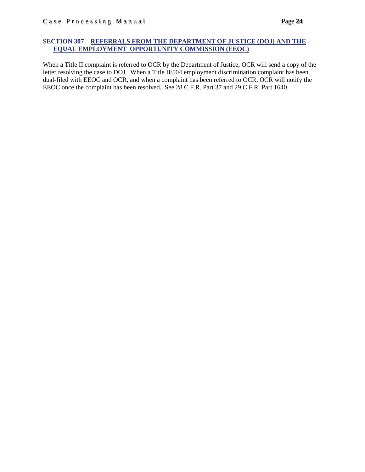## <span id="page-23-0"></span>**SECTION 307 REFERRALS FROM THE DEPARTMENT OF JUSTICE (DOJ) AND THE EQUAL EMPLOYMENT OPPORTUNITY COMMISSION (EEOC)**

When a Title II complaint is referred to OCR by the Department of Justice, OCR will send a copy of the letter resolving the case to DOJ. When a Title II/504 employment discrimination complaint has been dual-filed with EEOC and OCR, and when a complaint has been referred to OCR, OCR will notify the EEOC once the complaint has been resolved. See 28 C.F.R. Part 37 and 29 C.F.R. Part 1640.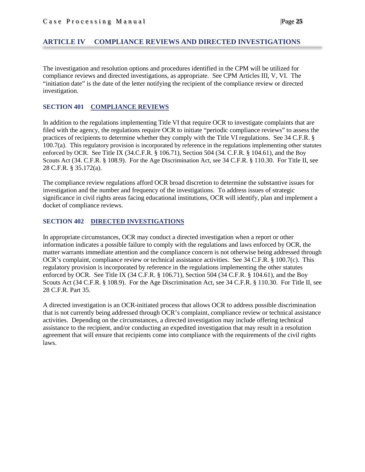## <span id="page-24-0"></span>**ARTICLE IV COMPLIANCE REVIEWS AND DIRECTED INVESTIGATIONS**

The investigation and resolution options and procedures identified in the CPM will be utilized for compliance reviews and directed investigations, as appropriate. See CPM Articles III, V, VI. The "initiation date" is the date of the letter notifying the recipient of the compliance review or directed investigation.

## <span id="page-24-1"></span>**SECTION 401 COMPLIANCE REVIEWS**

In addition to the regulations implementing Title VI that require OCR to investigate complaints that are filed with the agency, the regulations require OCR to initiate "periodic compliance reviews" to assess the practices of recipients to determine whether they comply with the Title VI regulations. See 34 C.F.R. § 100.7(a). This regulatory provision is incorporated by reference in the regulations implementing other statutes enforced by OCR. See Title IX (34.C.F.R. § 106.71), Section 504 (34. C.F.R. § 104.61), and the Boy Scouts Act (34. C.F.R. § 108.9). For the Age Discrimination Act, see 34 C.F.R. § 110.30. For Title II, see 28 C.F.R. § 35.172(a).

The compliance review regulations afford OCR broad discretion to determine the substantive issues for investigation and the number and frequency of the investigations. To address issues of strategic significance in civil rights areas facing educational institutions, OCR will identify, plan and implement a docket of compliance reviews.

## <span id="page-24-2"></span>**SECTION 402 DIRECTED INVESTIGATIONS**

In appropriate circumstances, OCR may conduct a directed investigation when a report or other information indicates a possible failure to comply with the regulations and laws enforced by OCR, the matter warrants immediate attention and the compliance concern is not otherwise being addressed through OCR's complaint, compliance review or technical assistance activities. See 34 C.F.R. § 100.7(c). This regulatory provision is incorporated by reference in the regulations implementing the other statutes enforced by OCR. See Title IX (34 C.F.R. § 106.71), Section 504 (34 C.F.R. § 104.61), and the Boy Scouts Act (34 C.F.R. § 108.9). For the Age Discrimination Act, see 34 C.F.R. § 110.30. For Title II, see 28 C.F.R. Part 35.

A directed investigation is an OCR-initiated process that allows OCR to address possible discrimination that is not currently being addressed through OCR's complaint, compliance review or technical assistance activities. Depending on the circumstances, a directed investigation may include offering technical assistance to the recipient, and/or conducting an expedited investigation that may result in a resolution agreement that will ensure that recipients come into compliance with the requirements of the civil rights laws.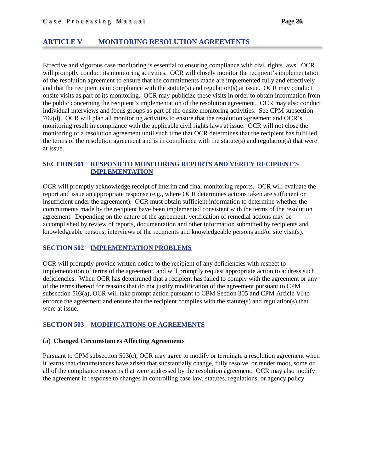## <span id="page-25-0"></span>**ARTICLE V MONITORING RESOLUTION AGREEMENTS**

Effective and vigorous case monitoring is essential to ensuring compliance with civil rights laws. OCR will promptly conduct its monitoring activities. OCR will closely monitor the recipient's implementation of the resolution agreement to ensure that the commitments made are implemented fully and effectively and that the recipient is in compliance with the statute(s) and regulation(s) at issue. OCR may conduct onsite visits as part of its monitoring. OCR may publicize these visits in order to obtain information from the public concerning the recipient's implementation of the resolution agreement. OCR may also conduct individual interviews and focus groups as part of the onsite monitoring activities. See CPM subsection 702(d). OCR will plan all monitoring activities to ensure that the resolution agreement and OCR's monitoring result in compliance with the applicable civil rights laws at issue. OCR will not close the monitoring of a resolution agreement until such time that OCR determines that the recipient has fulfilled the terms of the resolution agreement and is in compliance with the statute(s) and regulation(s) that were at issue.

## <span id="page-25-1"></span>**SECTION 501 RESPOND TO MONITORING REPORTS AND VERIFY RECIPIENT'S IMPLEMENTATION**

OCR will promptly acknowledge receipt of interim and final monitoring reports. OCR will evaluate the report and issue an appropriate response (e.g*.*, where OCR determines actions taken are sufficient or insufficient under the agreement). OCR must obtain sufficient information to determine whether the commitments made by the recipient have been implemented consistent with the terms of the resolution agreement. Depending on the nature of the agreement, verification of remedial actions may be accomplished by review of reports, documentation and other information submitted by recipients and knowledgeable persons, interviews of the recipients and knowledgeable persons and/or site visit(s).

## <span id="page-25-2"></span>**SECTION 502 IMPLEMENTATION PROBLEMS**

OCR will promptly provide written notice to the recipient of any deficiencies with respect to implementation of terms of the agreement, and will promptly request appropriate action to address such deficiencies. When OCR has determined that a recipient has failed to comply with the agreement or any of the terms thereof for reasons that do not justify modification of the agreement pursuant to CPM subsection 503(a), OCR will take prompt action pursuant to CPM Section 305 and CPM Article VI to enforce the agreement and ensure that the recipient complies with the statute(s) and regulation(s) that were at issue.

## <span id="page-25-3"></span>**SECTION 503 MODIFICATIONS OF AGREEMENTS**

#### (a) **Changed Circumstances Affecting Agreements**

Pursuant to CPM subsection 503(c), OCR may agree to modify or terminate a resolution agreement when it learns that circumstances have arisen that substantially change, fully resolve, or render moot, some or all of the compliance concerns that were addressed by the resolution agreement. OCR may also modify the agreement in response to changes in controlling case law, statutes, regulations, or agency policy.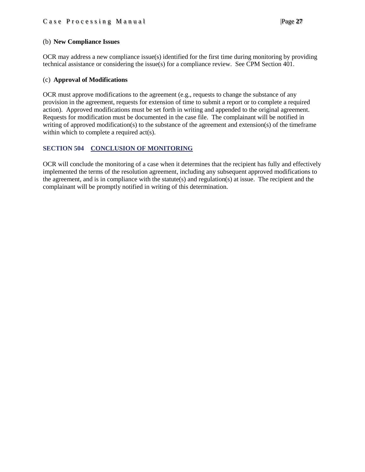## (b) **New Compliance Issues**

OCR may address a new compliance issue(s) identified for the first time during monitoring by providing technical assistance or considering the issue(s) for a compliance review. See CPM Section 401.

## (c) **Approval of Modifications**

OCR must approve modifications to the agreement (e.g., requests to change the substance of any provision in the agreement, requests for extension of time to submit a report or to complete a required action). Approved modifications must be set forth in writing and appended to the original agreement. Requests for modification must be documented in the case file. The complainant will be notified in writing of approved modification(s) to the substance of the agreement and extension(s) of the timeframe within which to complete a required act(s).

## <span id="page-26-0"></span>**SECTION 504 CONCLUSION OF MONITORING**

OCR will conclude the monitoring of a case when it determines that the recipient has fully and effectively implemented the terms of the resolution agreement, including any subsequent approved modifications to the agreement, and is in compliance with the statute(s) and regulation(s) at issue. The recipient and the complainant will be promptly notified in writing of this determination.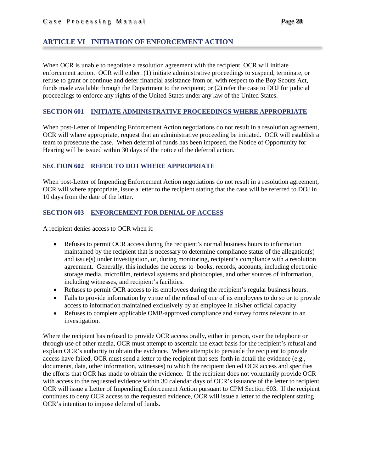# <span id="page-27-0"></span>**ARTICLE VI INITIATION OF ENFORCEMENT ACTION**

When OCR is unable to negotiate a resolution agreement with the recipient, OCR will initiate enforcement action. OCR will either: (1) initiate administrative proceedings to suspend, terminate, or refuse to grant or continue and defer financial assistance from or, with respect to the Boy Scouts Act, funds made available through the Department to the recipient; or (2) refer the case to DOJ for judicial proceedings to enforce any rights of the United States under any law of the United States.

## <span id="page-27-1"></span>**SECTION 601 INITIATE ADMINISTRATIVE PROCEEDINGS WHERE APPROPRIATE**

When post-Letter of Impending Enforcement Action negotiations do not result in a resolution agreement, OCR will where appropriate, request that an administrative proceeding be initiated. OCR will establish a team to prosecute the case. When deferral of funds has been imposed, the Notice of Opportunity for Hearing will be issued within 30 days of the notice of the deferral action.

## <span id="page-27-2"></span>**SECTION 602 REFER TO DOJ WHERE APPROPRIATE**

When post-Letter of Impending Enforcement Action negotiations do not result in a resolution agreement, OCR will where appropriate, issue a letter to the recipient stating that the case will be referred to DOJ in 10 days from the date of the letter.

## <span id="page-27-3"></span>**SECTION 603 ENFORCEMENT FOR DENIAL OF ACCESS**

A recipient denies access to OCR when it:

- Refuses to permit OCR access during the recipient's normal business hours to information maintained by the recipient that is necessary to determine compliance status of the allegation(s) and issue(s) under investigation, or, during monitoring, recipient's compliance with a resolution agreement. Generally, this includes the access to books, records, accounts, including electronic storage media, microfilm, retrieval systems and photocopies, and other sources of information, including witnesses, and recipient's facilities.
- Refuses to permit OCR access to its employees during the recipient's regular business hours.
- Fails to provide information by virtue of the refusal of one of its employees to do so or to provide access to information maintained exclusively by an employee in his/her official capacity.
- Refuses to complete applicable OMB-approved compliance and survey forms relevant to an investigation.

Where the recipient has refused to provide OCR access orally, either in person, over the telephone or through use of other media, OCR must attempt to ascertain the exact basis for the recipient's refusal and explain OCR's authority to obtain the evidence. Where attempts to persuade the recipient to provide access have failed, OCR must send a letter to the recipient that sets forth in detail the evidence (e.g., documents, data, other information, witnesses) to which the recipient denied OCR access and specifies the efforts that OCR has made to obtain the evidence. If the recipient does not voluntarily provide OCR with access to the requested evidence within 30 calendar days of OCR's issuance of the letter to recipient, OCR will issue a Letter of Impending Enforcement Action pursuant to CPM Section 603. If the recipient continues to deny OCR access to the requested evidence, OCR will issue a letter to the recipient stating OCR's intention to impose deferral of funds.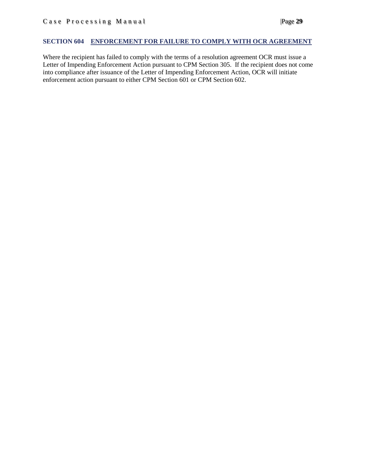## <span id="page-28-0"></span>**SECTION 604 ENFORCEMENT FOR FAILURE TO COMPLY WITH OCR AGREEMENT**

Where the recipient has failed to comply with the terms of a resolution agreement OCR must issue a Letter of Impending Enforcement Action pursuant to CPM Section 305. If the recipient does not come into compliance after issuance of the Letter of Impending Enforcement Action, OCR will initiate enforcement action pursuant to either CPM Section 601 or CPM Section 602.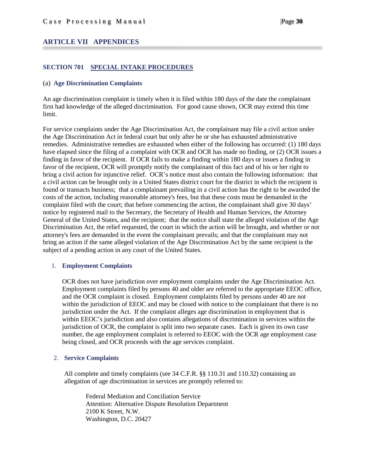## <span id="page-29-0"></span>**ARTICLE VII APPENDICES**

## <span id="page-29-1"></span>**SECTION 701 SPECIAL INTAKE PROCEDURES**

#### <span id="page-29-2"></span>(a) **Age Discrimination Complaints**

An age discrimination complaint is timely when it is filed within 180 days of the date the complainant first had knowledge of the alleged discrimination. For good cause shown, OCR may extend this time limit.

For service complaints under the Age Discrimination Act, the complainant may file a civil action under the Age Discrimination Act in federal court but only after he or she has exhausted administrative remedies. Administrative remedies are exhausted when either of the following has occurred: (1) 180 days have elapsed since the filing of a complaint with OCR and OCR has made no finding, or (2) OCR issues a finding in favor of the recipient. If OCR fails to make a finding within 180 days or issues a finding in favor of the recipient, OCR will promptly notify the complainant of this fact and of his or her right to bring a civil action for injunctive relief. OCR's notice must also contain the following information: that a civil action can be brought only in a United States district court for the district in which the recipient is found or transacts business; that a complainant prevailing in a civil action has the right to be awarded the costs of the action, including reasonable attorney's fees, but that these costs must be demanded in the complaint filed with the court; that before commencing the action, the complainant shall give 30 days' notice by registered mail to the Secretary, the Secretary of Health and Human Services, the Attorney General of the United States, and the recipient; that the notice shall state the alleged violation of the Age Discrimination Act, the relief requested, the court in which the action will be brought, and whether or not attorney's fees are demanded in the event the complainant prevails; and that the complainant may not bring an action if the same alleged violation of the Age Discrimination Act by the same recipient is the subject of a pending action in any court of the United States.

## 1. **Employment Complaints**

OCR does not have jurisdiction over employment complaints under the Age Discrimination Act. Employment complaints filed by persons 40 and older are referred to the appropriate EEOC office, and the OCR complaint is closed. Employment complaints filed by persons under 40 are not within the jurisdiction of EEOC and may be closed with notice to the complainant that there is no jurisdiction under the Act. If the complaint alleges age discrimination in employment that is within EEOC's jurisdiction and also contains allegations of discrimination in services within the jurisdiction of OCR, the complaint is split into two separate cases. Each is given its own case number, the age employment complaint is referred to EEOC with the OCR age employment case being closed, and OCR proceeds with the age services complaint.

## 2. **Service Complaints**

All complete and timely complaints (see 34 C.F.R. §§ 110.31 and 110.32) containing an allegation of age discrimination in services are promptly referred to:

Federal Mediation and Conciliation Service Attention: Alternative Dispute Resolution Department 2100 K Street, N.W. Washington, D.C. 20427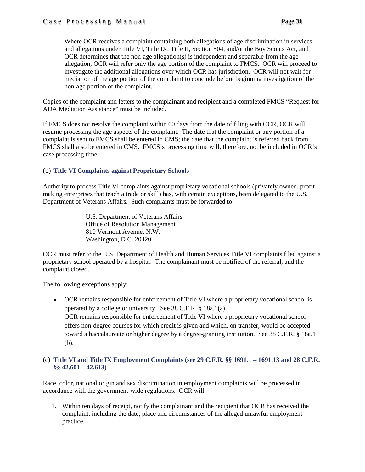Where OCR receives a complaint containing both allegations of age discrimination in services and allegations under Title VI, Title IX, Title II, Section 504, and/or the Boy Scouts Act, and OCR determines that the non-age allegation(s) is independent and separable from the age allegation, OCR will refer only the age portion of the complaint to FMCS. OCR will proceed to investigate the additional allegations over which OCR has jurisdiction. OCR will not wait for mediation of the age portion of the complaint to conclude before beginning investigation of the non-age portion of the complaint.

Copies of the complaint and letters to the complainant and recipient and a completed FMCS "Request for ADA Mediation Assistance" must be included.

If FMCS does not resolve the complaint within 60 days from the date of filing with OCR, OCR will resume processing the age aspects of the complaint. The date that the complaint or any portion of a complaint is sent to FMCS shall be entered in CMS; the date that the complaint is referred back from FMCS shall also be entered in CMS. FMCS's processing time will, therefore, not be included in OCR's case processing time.

## <span id="page-30-0"></span>(b) **Title VI Complaints against Proprietary Schools**

Authority to process Title VI complaints against proprietary vocational schools (privately owned, profitmaking enterprises that teach a trade or skill) has, with certain exceptions, been delegated to the U.S. Department of Veterans Affairs. Such complaints must be forwarded to:

> U.S. Department of Veterans Affairs Office of Resolution Management 810 Vermont Avenue, N.W. Washington, D.C. 20420

OCR must refer to the U.S. Department of Health and Human Services Title VI complaints filed against a proprietary school operated by a hospital. The complainant must be notified of the referral, and the complaint closed.

The following exceptions apply:

• OCR remains responsible for enforcement of Title VI where a proprietary vocational school is operated by a college or university. See 38 C.F.R. § 18a.1(a). OCR remains responsible for enforcement of Title VI where a proprietary vocational school offers non-degree courses for which credit is given and which, on transfer, would be accepted toward a baccalaureate or higher degree by a degree-granting institution. See 38 C.F.R. § 18a.1 (b).

## <span id="page-30-1"></span>(c) **Title VI and Title IX Employment Complaints (see 29 C.F.R. §§ 1691.1 – 1691.13 and 28 C.F.R. §§ 42.601 – 42.613)**

Race, color, national origin and sex discrimination in employment complaints will be processed in accordance with the government-wide regulations. OCR will:

1. Within ten days of receipt, notify the complainant and the recipient that OCR has received the complaint, including the date, place and circumstances of the alleged unlawful employment practice.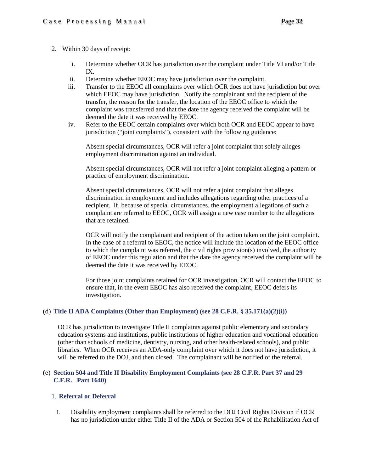## 2. Within 30 days of receipt:

- i. Determine whether OCR has jurisdiction over the complaint under Title VI and/or Title IX.
- ii. Determine whether EEOC may have jurisdiction over the complaint.
- iii. Transfer to the EEOC all complaints over which OCR does not have jurisdiction but over which EEOC may have jurisdiction. Notify the complainant and the recipient of the transfer, the reason for the transfer, the location of the EEOC office to which the complaint was transferred and that the date the agency received the complaint will be deemed the date it was received by EEOC.
- iv. Refer to the EEOC certain complaints over which both OCR and EEOC appear to have jurisdiction ("joint complaints"), consistent with the following guidance:

Absent special circumstances, OCR will refer a joint complaint that solely alleges employment discrimination against an individual.

Absent special circumstances, OCR will not refer a joint complaint alleging a pattern or practice of employment discrimination.

Absent special circumstances, OCR will not refer a joint complaint that alleges discrimination in employment and includes allegations regarding other practices of a recipient. If, because of special circumstances, the employment allegations of such a complaint are referred to EEOC, OCR will assign a new case number to the allegations that are retained.

OCR will notify the complainant and recipient of the action taken on the joint complaint. In the case of a referral to EEOC, the notice will include the location of the EEOC office to which the complaint was referred, the civil rights provision(s) involved, the authority of EEOC under this regulation and that the date the agency received the complaint will be deemed the date it was received by EEOC.

For those joint complaints retained for OCR investigation, OCR will contact the EEOC to ensure that, in the event EEOC has also received the complaint, EEOC defers its investigation.

## <span id="page-31-0"></span>(d) **Title II ADA Complaints (Other than Employment) (see 28 C.F.R. § 35.171(a)(2)(i))**

OCR has jurisdiction to investigate Title II complaints against public elementary and secondary education systems and institutions, public institutions of higher education and vocational education (other than schools of medicine, dentistry, nursing, and other health-related schools), and public libraries. When OCR receives an ADA-only complaint over which it does not have jurisdiction, it will be referred to the DOJ, and then closed. The complainant will be notified of the referral.

## <span id="page-31-1"></span>(e) **Section 504 and Title II Disability Employment Complaints (see 28 C.F.R. Part 37 and 29 C.F.R. Part 1640)**

## 1. **Referral or Deferral**

i. Disability employment complaints shall be referred to the DOJ Civil Rights Division if OCR has no jurisdiction under either Title II of the ADA or Section 504 of the Rehabilitation Act of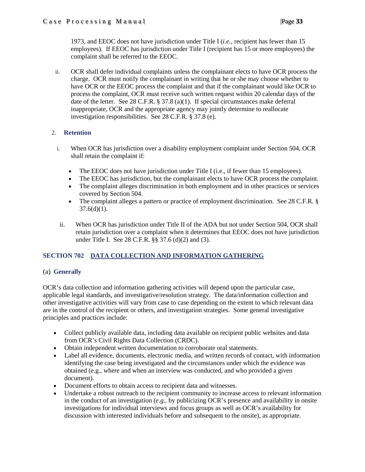1973, and EEOC does not have jurisdiction under Title I (*i.e.*, recipient has fewer than 15 employees). If EEOC has jurisdiction under Title I (recipient has 15 or more employees) the complaint shall be referred to the EEOC.

ii. OCR shall defer individual complaints unless the complainant elects to have OCR process the charge. OCR must notify the complainant in writing that he or she may choose whether to have OCR or the EEOC process the complaint and that if the complainant would like OCR to process the complaint, OCR must receive such written request within 20 calendar days of the date of the letter. See 28 C.F.R. § 37.8 (a)(1). If special circumstances make deferral inappropriate, OCR and the appropriate agency may jointly determine to reallocate investigation responsibilities. See 28 C.F.R. § 37.8 (e).

# 2. **Retention**

- i. When OCR has jurisdiction over a disability employment complaint under Section 504, OCR shall retain the complaint if:
	- The EEOC does not have jurisdiction under Title I (i.e., if fewer than 15 employees).
	- The EEOC has jurisdiction, but the complainant elects to have OCR process the complaint.
	- The complaint alleges discrimination in both employment and in other practices or services covered by Section 504.
	- The complaint alleges a pattern or practice of employment discrimination. See 28 C.F.R. §  $37.6(d)(1)$ .
- ii. When OCR has jurisdiction under Title II of the ADA but not under Section 504, OCR shall retain jurisdiction over a complaint when it determines that EEOC does not have jurisdiction under Title I. See 28 C.F.R. §§ 37.6 (d)(2) and (3).

# <span id="page-32-0"></span>**SECTION 702 DATA COLLECTION AND INFORMATION GATHERING**

# <span id="page-32-1"></span>(a) **Generally**

OCR's data collection and information gathering activities will depend upon the particular case, applicable legal standards, and investigative/resolution strategy. The data/information collection and other investigative activities will vary from case to case depending on the extent to which relevant data are in the control of the recipient or others, and investigation strategies. Some general investigative principles and practices include:

- Collect publicly available data, including data available on recipient public websites and data from OCR's Civil Rights Data Collection (CRDC).
- Obtain independent written documentation to corroborate oral statements.
- Label all evidence, documents, electronic media, and written records of contact, with information identifying the case being investigated and the circumstances under which the evidence was obtained (e.g., where and when an interview was conducted, and who provided a given document).
- Document efforts to obtain access to recipient data and witnesses.
- Undertake a robust outreach to the recipient community to increase access to relevant information in the conduct of an investigation (*e.g.,* by publicizing OCR's presence and availability in onsite investigations for individual interviews and focus groups as well as OCR's availability for discussion with interested individuals before and subsequent to the onsite), as appropriate.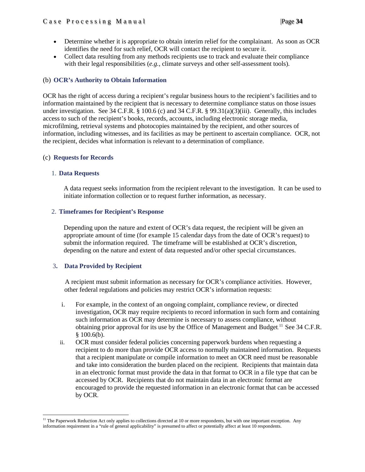- Determine whether it is appropriate to obtain interim relief for the complainant. As soon as OCR identifies the need for such relief, OCR will contact the recipient to secure it.
- Collect data resulting from any methods recipients use to track and evaluate their compliance with their legal responsibilities (*e.g.*, climate surveys and other self-assessment tools).

## <span id="page-33-0"></span>(b) **OCR's Authority to Obtain Information**

OCR has the right of access during a recipient's regular business hours to the recipient's facilities and to information maintained by the recipient that is necessary to determine compliance status on those issues under investigation. See 34 C.F.R. § 100.6 (c) and 34 C.F.R. § 99.31(a)(3)(iii). Generally, this includes access to such of the recipient's books, records, accounts, including electronic storage media, microfilming, retrieval systems and photocopies maintained by the recipient, and other sources of information, including witnesses, and its facilities as may be pertinent to ascertain compliance. OCR, not the recipient, decides what information is relevant to a determination of compliance.

## <span id="page-33-1"></span>(c) **Requests for Records**

## 1. **Data Requests**

A data request seeks information from the recipient relevant to the investigation. It can be used to initiate information collection or to request further information, as necessary.

## 2. **Timeframes for Recipient's Response**

Depending upon the nature and extent of OCR's data request, the recipient will be given an appropriate amount of time (for example 15 calendar days from the date of OCR's request) to submit the information required. The timeframe will be established at OCR's discretion, depending on the nature and extent of data requested and/or other special circumstances.

## 3**. Data Provided by Recipient**

A recipient must submit information as necessary for OCR's compliance activities. However, other federal regulations and policies may restrict OCR's information requests:

- i. For example, in the context of an ongoing complaint, compliance review, or directed investigation, OCR may require recipients to record information in such form and containing such information as OCR may determine is necessary to assess compliance, without obtaining prior approval for its use by the Office of Management and Budget.<sup>[11](#page-33-2)</sup> See 34 C.F.R.  $$100.6(b).$
- ii. OCR must consider federal policies concerning paperwork burdens when requesting a recipient to do more than provide OCR access to normally maintained information. Requests that a recipient manipulate or compile information to meet an OCR need must be reasonable and take into consideration the burden placed on the recipient. Recipients that maintain data in an electronic format must provide the data in that format to OCR in a file type that can be accessed by OCR. Recipients that do not maintain data in an electronic format are encouraged to provide the requested information in an electronic format that can be accessed by OCR.

<span id="page-33-2"></span> $\overline{\phantom{a}}$ <sup>11</sup> The Paperwork Reduction Act only applies to collections directed at 10 or more respondents, but with one important exception. Any information requirement in a "rule of general applicability" is presumed to affect or potentially affect at least 10 respondents.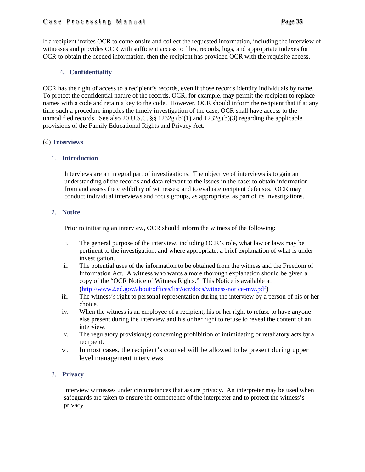## Case Processing Manual |Page **35**

If a recipient invites OCR to come onsite and collect the requested information, including the interview of witnesses and provides OCR with sufficient access to files, records, logs, and appropriate indexes for OCR to obtain the needed information, then the recipient has provided OCR with the requisite access.

## 4**. Confidentiality**

OCR has the right of access to a recipient's records, even if those records identify individuals by name. To protect the confidential nature of the records, OCR, for example, may permit the recipient to replace names with a code and retain a key to the code. However, OCR should inform the recipient that if at any time such a procedure impedes the timely investigation of the case, OCR shall have access to the unmodified records. See also 20 U.S.C. §§ 1232g (b)(1) and 1232g (b)(3) regarding the applicable provisions of the Family Educational Rights and Privacy Act.

## (d) **Interviews**

## <span id="page-34-0"></span>1. **Introduction**

Interviews are an integral part of investigations. The objective of interviews is to gain an understanding of the records and data relevant to the issues in the case; to obtain information from and assess the credibility of witnesses; and to evaluate recipient defenses. OCR may conduct individual interviews and focus groups, as appropriate, as part of its investigations.

## <span id="page-34-1"></span>2. **Notice**

Prior to initiating an interview, OCR should inform the witness of the following:

- i. The general purpose of the interview, including OCR's role, what law or laws may be pertinent to the investigation, and where appropriate, a brief explanation of what is under investigation.
- ii. The potential uses of the information to be obtained from the witness and the Freedom of Information Act. A witness who wants a more thorough explanation should be given a copy of the "OCR Notice of Witness Rights." This Notice is available at: [\(http://www2.ed.gov/about/offices/list/ocr/docs/witness-notice-mw.pdf\)](http://www2.ed.gov/about/offices/list/ocr/docs/witness-notice-mw.pdf)
- iii. The witness's right to personal representation during the interview by a person of his or her choice.
- iv. When the witness is an employee of a recipient, his or her right to refuse to have anyone else present during the interview and his or her right to refuse to reveal the content of an interview.
- v. The regulatory provision(s) concerning prohibition of intimidating or retaliatory acts by a recipient.
- vi. In most cases, the recipient's counsel will be allowed to be present during upper level management interviews.

## <span id="page-34-2"></span>3. **Privacy**

Interview witnesses under circumstances that assure privacy. An interpreter may be used when safeguards are taken to ensure the competence of the interpreter and to protect the witness's privacy.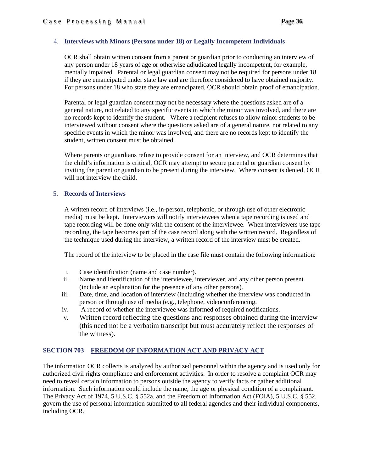## <span id="page-35-0"></span>4. **Interviews with Minors (Persons under 18) or Legally Incompetent Individuals**

OCR shall obtain written consent from a parent or guardian prior to conducting an interview of any person under 18 years of age or otherwise adjudicated legally incompetent, for example, mentally impaired. Parental or legal guardian consent may not be required for persons under 18 if they are emancipated under state law and are therefore considered to have obtained majority. For persons under 18 who state they are emancipated, OCR should obtain proof of emancipation.

Parental or legal guardian consent may not be necessary where the questions asked are of a general nature, not related to any specific events in which the minor was involved, and there are no records kept to identify the student. Where a recipient refuses to allow minor students to be interviewed without consent where the questions asked are of a general nature, not related to any specific events in which the minor was involved, and there are no records kept to identify the student, written consent must be obtained.

Where parents or guardians refuse to provide consent for an interview, and OCR determines that the child's information is critical, OCR may attempt to secure parental or guardian consent by inviting the parent or guardian to be present during the interview. Where consent is denied, OCR will not interview the child.

#### <span id="page-35-1"></span>5. **Records of Interviews**

A written record of interviews (i.e., in-person, telephonic, or through use of other electronic media) must be kept. Interviewers will notify interviewees when a tape recording is used and tape recording will be done only with the consent of the interviewee. When interviewers use tape recording, the tape becomes part of the case record along with the written record. Regardless of the technique used during the interview, a written record of the interview must be created.

The record of the interview to be placed in the case file must contain the following information:

- i. Case identification (name and case number).
- ii. Name and identification of the interviewee, interviewer, and any other person present (include an explanation for the presence of any other persons).
- iii. Date, time, and location of interview (including whether the interview was conducted in person or through use of media (e.g., telephone, videoconferencing.
- iv. A record of whether the interviewee was informed of required notifications.
- v. Written record reflecting the questions and responses obtained during the interview (this need not be a verbatim transcript but must accurately reflect the responses of the witness).

## <span id="page-35-2"></span>**SECTION 703 FREEDOM OF INFORMATION ACT AND PRIVACY ACT**

The information OCR collects is analyzed by authorized personnel within the agency and is used only for authorized civil rights compliance and enforcement activities. In order to resolve a complaint OCR may need to reveal certain information to persons outside the agency to verify facts or gather additional information. Such information could include the name, the age or physical condition of a complainant. The Privacy Act of 1974, 5 U.S.C. § 552a, and the Freedom of Information Act (FOIA), 5 U.S.C. § 552, govern the use of personal information submitted to all federal agencies and their individual components, including OCR.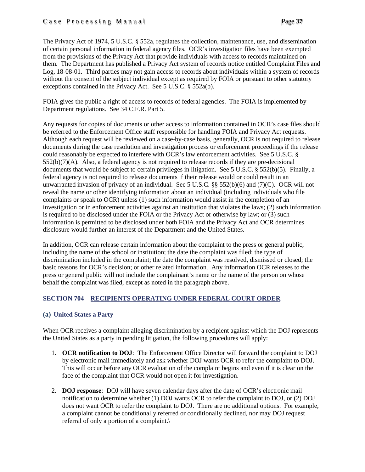## Case Processing Manual |Page **37**

The Privacy Act of 1974, 5 U.S.C. § 552a, regulates the collection, maintenance, use, and dissemination of certain personal information in federal agency files. OCR's investigation files have been exempted from the provisions of the Privacy Act that provide individuals with access to records maintained on them. The Department has published a Privacy Act system of records notice entitled Complaint Files and Log, 18-08-01. Third parties may not gain access to records about individuals within a system of records without the consent of the subject individual except as required by FOIA or pursuant to other statutory exceptions contained in the Privacy Act. See 5 U.S.C. § 552a(b).

FOIA gives the public a right of access to records of federal agencies. The FOIA is implemented by Department regulations. See 34 C.F.R. Part 5.

Any requests for copies of documents or other access to information contained in OCR's case files should be referred to the Enforcement Office staff responsible for handling FOIA and Privacy Act requests. Although each request will be reviewed on a case-by-case basis, generally, OCR is not required to release documents during the case resolution and investigation process or enforcement proceedings if the release could reasonably be expected to interfere with OCR's law enforcement activities. See 5 U.S.C. § 552(b)(7)(A). Also, a federal agency is not required to release records if they are pre-decisional documents that would be subject to certain privileges in litigation. See 5 U.S.C. § 552(b)(5). Finally, a federal agency is not required to release documents if their release would or could result in an unwarranted invasion of privacy of an individual. See 5 U.S.C. §§ 552(b)(6) and (7)(C). OCR will not reveal the name or other identifying information about an individual (including individuals who file complaints or speak to OCR) unless (1) such information would assist in the completion of an investigation or in enforcement activities against an institution that violates the laws; (2) such information is required to be disclosed under the FOIA or the Privacy Act or otherwise by law; or (3) such information is permitted to be disclosed under both FOIA and the Privacy Act and OCR determines disclosure would further an interest of the Department and the United States.

In addition, OCR can release certain information about the complaint to the press or general public, including the name of the school or institution; the date the complaint was filed; the type of discrimination included in the complaint; the date the complaint was resolved, dismissed or closed; the basic reasons for OCR's decision; or other related information. Any information OCR releases to the press or general public will not include the complainant's name or the name of the person on whose behalf the complaint was filed, except as noted in the paragraph above.

## <span id="page-36-0"></span>**SECTION 704 RECIPIENTS OPERATING UNDER FEDERAL COURT ORDER**

## <span id="page-36-1"></span>**(a) United States a Party**

When OCR receives a complaint alleging discrimination by a recipient against which the DOJ represents the United States as a party in pending litigation, the following procedures will apply:

- 1. **OCR notification to DOJ**: The Enforcement Office Director will forward the complaint to DOJ by electronic mail immediately and ask whether DOJ wants OCR to refer the complaint to DOJ. This will occur before any OCR evaluation of the complaint begins and even if it is clear on the face of the complaint that OCR would not open it for investigation.
- 2. **DOJ response**: DOJ will have seven calendar days after the date of OCR's electronic mail notification to determine whether (1) DOJ wants OCR to refer the complaint to DOJ, or (2) DOJ does not want OCR to refer the complaint to DOJ. There are no additional options. For example, a complaint cannot be conditionally referred or conditionally declined, nor may DOJ request referral of only a portion of a complaint.\